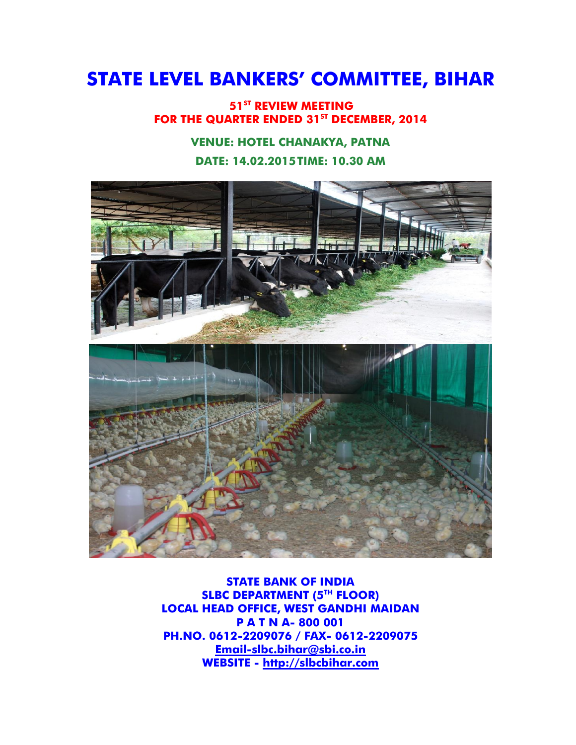# **STATE LEVEL BANKERS' COMMITTEE, BIHAR**

**51ST REVIEW MEETING FOR THE QUARTER ENDED 31ST DECEMBER, 2014**

# **VENUE: HOTEL CHANAKYA, PATNA DATE: 14.02.2015TIME: 10.30 AM**



**STATE BANK OF INDIA SLBC DEPARTMENT (5TH FLOOR) LOCAL HEAD OFFICE, WEST GANDHI MAIDAN P A T N A- 800 001 PH.NO. 0612-2209076 / FAX- 0612-2209075 [Email-slbc.bihar@sbi.co.in](mailto:Email-slbc.bihar@sbi.co.in) WEBSITE - [http://slbcbihar.com](http://slbcbihar.com/)**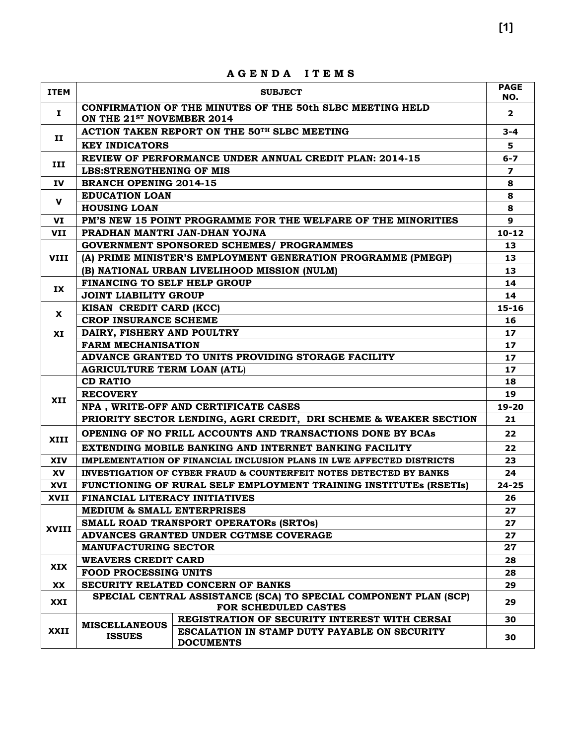|              |                                                     | A G C N D A<br>11 L M S                                                                  |                          |  |
|--------------|-----------------------------------------------------|------------------------------------------------------------------------------------------|--------------------------|--|
| <b>ITEM</b>  |                                                     | <b>SUBJECT</b>                                                                           | <b>PAGE</b><br>NO.       |  |
| $\mathbf{I}$ | ON THE 21 <sup>ST</sup> NOVEMBER 2014               | CONFIRMATION OF THE MINUTES OF THE 50th SLBC MEETING HELD                                | $\overline{2}$           |  |
|              |                                                     | ACTION TAKEN REPORT ON THE 50TH SLBC MEETING                                             | $3 - 4$                  |  |
| п            | <b>KEY INDICATORS</b>                               |                                                                                          | 5                        |  |
|              |                                                     | REVIEW OF PERFORMANCE UNDER ANNUAL CREDIT PLAN: 2014-15                                  | $6 - 7$                  |  |
| III          | <b>LBS:STRENGTHENING OF MIS</b>                     |                                                                                          | $\overline{\phantom{a}}$ |  |
| IV           | <b>BRANCH OPENING 2014-15</b>                       |                                                                                          | 8                        |  |
|              | <b>EDUCATION LOAN</b>                               |                                                                                          | 8                        |  |
| v            | <b>HOUSING LOAN</b>                                 |                                                                                          | 8                        |  |
| VI           |                                                     | PM'S NEW 15 POINT PROGRAMME FOR THE WELFARE OF THE MINORITIES                            | 9                        |  |
| VII          |                                                     | PRADHAN MANTRI JAN-DHAN YOJNA                                                            | $10 - 12$                |  |
|              |                                                     | <b>GOVERNMENT SPONSORED SCHEMES/ PROGRAMMES</b>                                          | 13                       |  |
| <b>VIII</b>  |                                                     | (A) PRIME MINISTER'S EMPLOYMENT GENERATION PROGRAMME (PMEGP)                             | 13                       |  |
|              |                                                     | (B) NATIONAL URBAN LIVELIHOOD MISSION (NULM)                                             | 13                       |  |
|              | FINANCING TO SELF HELP GROUP                        |                                                                                          | 14                       |  |
| IX           | <b>JOINT LIABILITY GROUP</b>                        |                                                                                          | 14                       |  |
|              | KISAN CREDIT CARD (KCC)                             |                                                                                          | $15 - 16$                |  |
| X.           | <b>CROP INSURANCE SCHEME</b>                        |                                                                                          |                          |  |
| XI           | DAIRY, FISHERY AND POULTRY                          |                                                                                          |                          |  |
|              | <b>FARM MECHANISATION</b>                           |                                                                                          |                          |  |
|              | ADVANCE GRANTED TO UNITS PROVIDING STORAGE FACILITY |                                                                                          |                          |  |
|              | <b>AGRICULTURE TERM LOAN (ATL)</b>                  |                                                                                          | 17                       |  |
|              | <b>CD RATIO</b>                                     |                                                                                          | 18                       |  |
|              | <b>RECOVERY</b>                                     |                                                                                          |                          |  |
| XII          |                                                     | NPA, WRITE-OFF AND CERTIFICATE CASES                                                     | $19 - 20$                |  |
|              |                                                     | PRIORITY SECTOR LENDING, AGRI CREDIT, DRI SCHEME & WEAKER SECTION                        | 21                       |  |
| XIII         |                                                     | OPENING OF NO FRILL ACCOUNTS AND TRANSACTIONS DONE BY BCAs                               | 22                       |  |
|              |                                                     | EXTENDING MOBILE BANKING AND INTERNET BANKING FACILITY                                   | 22                       |  |
| <b>XIV</b>   |                                                     | IMPLEMENTATION OF FINANCIAL INCLUSION PLANS IN LWE AFFECTED DISTRICTS                    | 23                       |  |
| XV           |                                                     | <b>INVESTIGATION OF CYBER FRAUD &amp; COUNTERFEIT NOTES DETECTED BY BANKS</b>            | 24                       |  |
| XVI          |                                                     | <b>FUNCTIONING OF RURAL SELF EMPLOYMENT TRAINING INSTITUTES (RSETIS)</b>                 | $24 - 25$                |  |
| XVII         | FINANCIAL LITERACY INITIATIVES                      |                                                                                          | 26                       |  |
|              | <b>MEDIUM &amp; SMALL ENTERPRISES</b>               |                                                                                          | 27                       |  |
| XVIII        |                                                     | SMALL ROAD TRANSPORT OPERATORS (SRTOS)                                                   | 27                       |  |
|              |                                                     | ADVANCES GRANTED UNDER CGTMSE COVERAGE                                                   | 27                       |  |
|              | <b>MANUFACTURING SECTOR</b>                         |                                                                                          |                          |  |
| <b>XIX</b>   | <b>WEAVERS CREDIT CARD</b>                          |                                                                                          | 28                       |  |
|              | <b>FOOD PROCESSING UNITS</b>                        |                                                                                          |                          |  |
| <b>XX</b>    |                                                     | SECURITY RELATED CONCERN OF BANKS                                                        | 29                       |  |
| XXI          |                                                     | SPECIAL CENTRAL ASSISTANCE (SCA) TO SPECIAL COMPONENT PLAN (SCP)<br>FOR SCHEDULED CASTES | 29                       |  |
|              | <b>MISCELLANEOUS</b>                                | REGISTRATION OF SECURITY INTEREST WITH CERSAI                                            | 30                       |  |
| XXII         | <b>ISSUES</b>                                       | ESCALATION IN STAMP DUTY PAYABLE ON SECURITY<br><b>DOCUMENTS</b>                         | 30                       |  |

**A G E N D A I T E M S**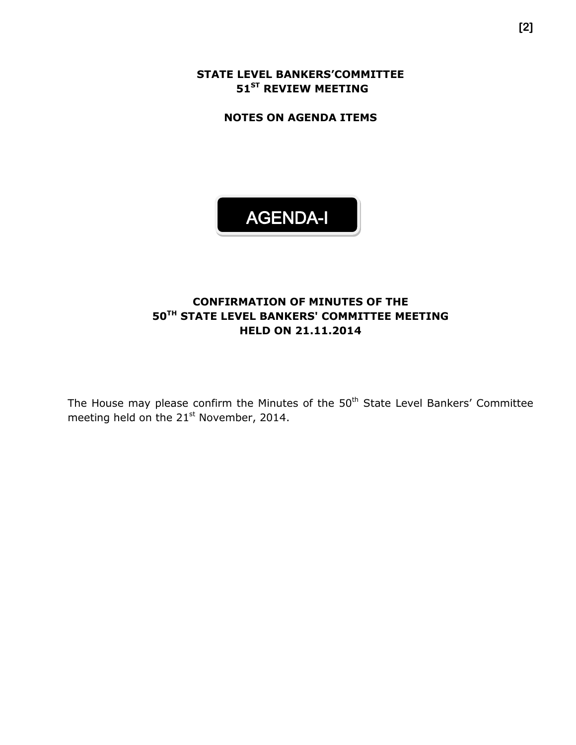**STATE LEVEL BANKERS'COMMITTEE 51 ST REVIEW MEETING**

**NOTES ON AGENDA ITEMS**



# **CONFIRMATION OF MINUTES OF THE 50TH STATE LEVEL BANKERS' COMMITTEE MEETING HELD ON 21.11.2014**

The House may please confirm the Minutes of the 50<sup>th</sup> State Level Bankers' Committee meeting held on the 21<sup>st</sup> November, 2014.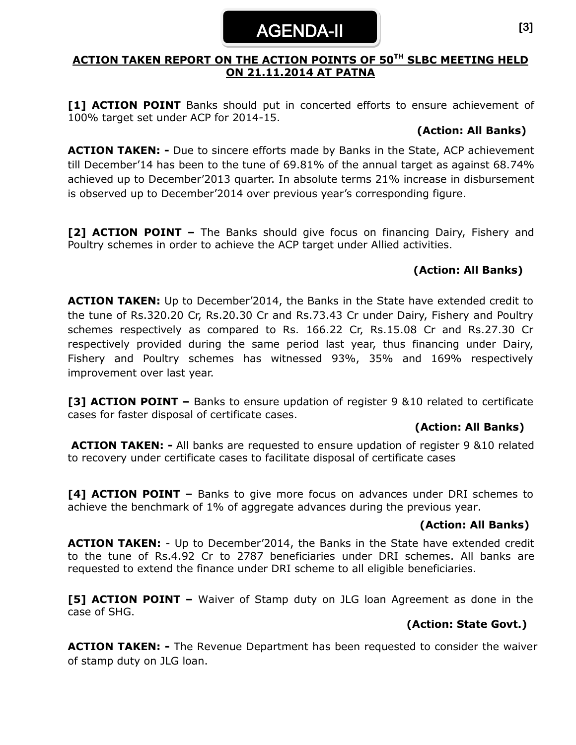## **ACTION TAKEN REPORT ON THE ACTION POINTS OF 50TH SLBC MEETING HELD ON 21.11.2014 AT PATNA**

**[1] ACTION POINT** Banks should put in concerted efforts to ensure achievement of 100% target set under ACP for 2014-15.

## **(Action: All Banks)**

**ACTION TAKEN: -** Due to sincere efforts made by Banks in the State, ACP achievement till December'14 has been to the tune of 69.81% of the annual target as against 68.74% achieved up to December'2013 quarter. In absolute terms 21% increase in disbursement is observed up to December'2014 over previous year's corresponding figure.

**[2] ACTION POINT –** The Banks should give focus on financing Dairy, Fishery and Poultry schemes in order to achieve the ACP target under Allied activities.

# **(Action: All Banks)**

**ACTION TAKEN:** Up to December'2014, the Banks in the State have extended credit to the tune of Rs.320.20 Cr, Rs.20.30 Cr and Rs.73.43 Cr under Dairy, Fishery and Poultry schemes respectively as compared to Rs. 166.22 Cr, Rs.15.08 Cr and Rs.27.30 Cr respectively provided during the same period last year, thus financing under Dairy, Fishery and Poultry schemes has witnessed 93%, 35% and 169% respectively improvement over last year.

**[3] ACTION POINT –** Banks to ensure updation of register 9 &10 related to certificate cases for faster disposal of certificate cases.

# **(Action: All Banks)**

**ACTION TAKEN: -** All banks are requested to ensure updation of register 9 &10 related to recovery under certificate cases to facilitate disposal of certificate cases

**[4] ACTION POINT –** Banks to give more focus on advances under DRI schemes to achieve the benchmark of 1% of aggregate advances during the previous year.

# **(Action: All Banks)**

**ACTION TAKEN:** - Up to December'2014, the Banks in the State have extended credit to the tune of Rs.4.92 Cr to 2787 beneficiaries under DRI schemes. All banks are requested to extend the finance under DRI scheme to all eligible beneficiaries.

**[5] ACTION POINT –** Waiver of Stamp duty on JLG loan Agreement as done in the case of SHG.

# **(Action: State Govt.)**

**ACTION TAKEN: -** The Revenue Department has been requested to consider the waiver of stamp duty on JLG loan.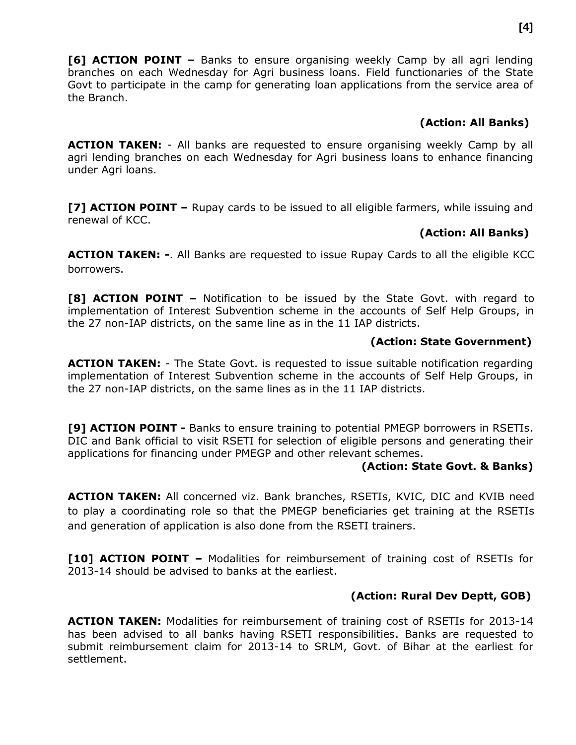**[6] ACTION POINT –** Banks to ensure organising weekly Camp by all agri lending branches on each Wednesday for Agri business loans. Field functionaries of the State Govt to participate in the camp for generating loan applications from the service area of the Branch.

## **(Action: All Banks)**

**ACTION TAKEN:** - All banks are requested to ensure organising weekly Camp by all agri lending branches on each Wednesday for Agri business loans to enhance financing under Agri loans.

**[7] ACTION POINT –** Rupay cards to be issued to all eligible farmers, while issuing and renewal of KCC.

# **(Action: All Banks)**

**ACTION TAKEN: -**. All Banks are requested to issue Rupay Cards to all the eligible KCC borrowers.

**[8] ACTION POINT –** Notification to be issued by the State Govt. with regard to implementation of Interest Subvention scheme in the accounts of Self Help Groups, in the 27 non-IAP districts, on the same line as in the 11 IAP districts.

## **(Action: State Government)**

**ACTION TAKEN:** - The State Govt. is requested to issue suitable notification regarding implementation of Interest Subvention scheme in the accounts of Self Help Groups, in the 27 non-IAP districts, on the same lines as in the 11 IAP districts.

**[9] ACTION POINT -** Banks to ensure training to potential PMEGP borrowers in RSETIs. DIC and Bank official to visit RSETI for selection of eligible persons and generating their applications for financing under PMEGP and other relevant schemes.

#### **(Action: State Govt. & Banks)**

**ACTION TAKEN:** All concerned viz. Bank branches, RSETIs, KVIC, DIC and KVIB need to play a coordinating role so that the PMEGP beneficiaries get training at the RSETIs and generation of application is also done from the RSETI trainers.

**[10] ACTION POINT –** Modalities for reimbursement of training cost of RSETIs for 2013-14 should be advised to banks at the earliest.

# **(Action: Rural Dev Deptt, GOB)**

**ACTION TAKEN:** Modalities for reimbursement of training cost of RSETIs for 2013-14 has been advised to all banks having RSETI responsibilities. Banks are requested to submit reimbursement claim for 2013-14 to SRLM, Govt. of Bihar at the earliest for settlement.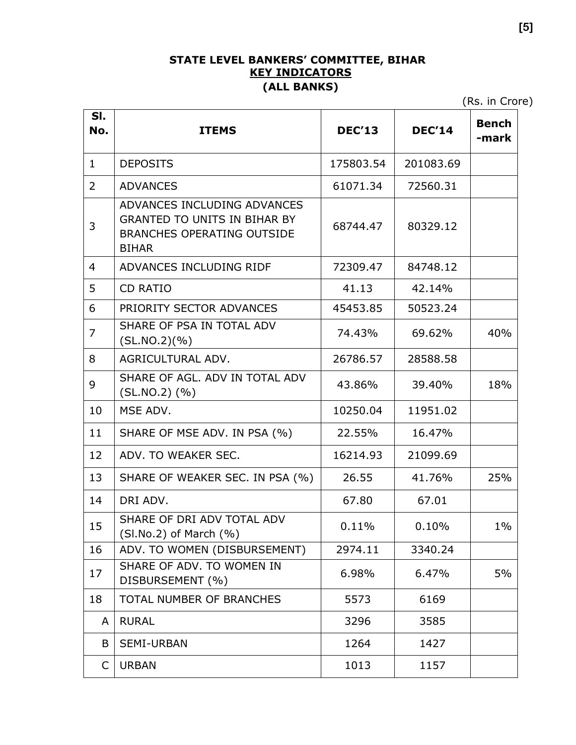# **STATE LEVEL BANKERS' COMMITTEE, BIHAR KEY INDICATORS (ALL BANKS)**

(Rs. in Crore)

| SI.<br>No.     | <b>ITEMS</b>                                                                                                            | <b>DEC'13</b> | <b>DEC'14</b> | <b>Bench</b><br>-mark |
|----------------|-------------------------------------------------------------------------------------------------------------------------|---------------|---------------|-----------------------|
| $\mathbf{1}$   | <b>DEPOSITS</b>                                                                                                         | 175803.54     | 201083.69     |                       |
| 2              | <b>ADVANCES</b>                                                                                                         | 61071.34      | 72560.31      |                       |
| 3              | ADVANCES INCLUDING ADVANCES<br><b>GRANTED TO UNITS IN BIHAR BY</b><br><b>BRANCHES OPERATING OUTSIDE</b><br><b>BIHAR</b> | 68744.47      | 80329.12      |                       |
| $\overline{4}$ | ADVANCES INCLUDING RIDF                                                                                                 | 72309.47      | 84748.12      |                       |
| 5              | <b>CD RATIO</b>                                                                                                         | 41.13         | 42.14%        |                       |
| 6              | PRIORITY SECTOR ADVANCES                                                                                                | 45453.85      | 50523.24      |                       |
| 7              | SHARE OF PSA IN TOTAL ADV<br>(SLNO.2)(% )                                                                               | 74.43%        | 69.62%        | 40%                   |
| 8              | AGRICULTURAL ADV.                                                                                                       | 26786.57      | 28588.58      |                       |
| 9              | SHARE OF AGL. ADV IN TOTAL ADV<br>$(SLNO.2)$ $(\% )$                                                                    | 43.86%        | 39.40%        | 18%                   |
| 10             | MSE ADV.                                                                                                                | 10250.04      | 11951.02      |                       |
| 11             | SHARE OF MSE ADV. IN PSA (%)                                                                                            | 22.55%        | 16.47%        |                       |
| 12             | ADV. TO WEAKER SEC.                                                                                                     | 16214.93      | 21099.69      |                       |
| 13             | SHARE OF WEAKER SEC. IN PSA (%)                                                                                         | 26.55         | 41.76%        | 25%                   |
| 14             | DRI ADV.                                                                                                                | 67.80         | 67.01         |                       |
| 15             | SHARE OF DRI ADV TOTAL ADV<br>$(SI.No.2)$ of March $(\%)$                                                               | 0.11%         | 0.10%         | $1\%$                 |
| 16             | ADV. TO WOMEN (DISBURSEMENT)                                                                                            | 2974.11       | 3340.24       |                       |
| 17             | SHARE OF ADV. TO WOMEN IN<br>DISBURSEMENT (%)                                                                           | 6.98%         | 6.47%         | 5%                    |
| 18             | TOTAL NUMBER OF BRANCHES                                                                                                | 5573          | 6169          |                       |
| A              | <b>RURAL</b>                                                                                                            | 3296          | 3585          |                       |
| B              | SEMI-URBAN                                                                                                              | 1264          | 1427          |                       |
| C              | <b>URBAN</b>                                                                                                            | 1013          | 1157          |                       |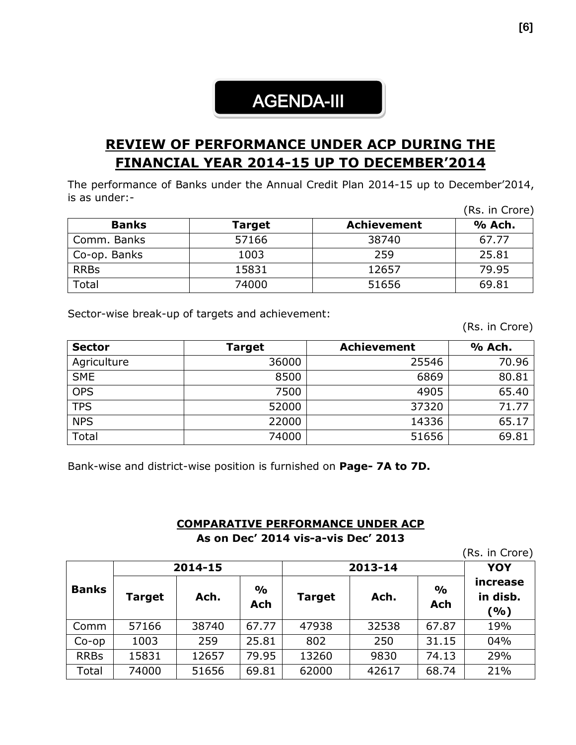# AGENDA-III

# **REVIEW OF PERFORMANCE UNDER ACP DURING THE FINANCIAL YEAR 2014-15 UP TO DECEMBER'2014**

The performance of Banks under the Annual Credit Plan 2014-15 up to December'2014, is as under:- (Rs. in Crore)

|              |        |                    | ו וגאווי הכזון |
|--------------|--------|--------------------|----------------|
| <b>Banks</b> | Target | <b>Achievement</b> | % Ach.         |
| Comm. Banks  | 57166  | 38740              | 67.77          |
| Co-op. Banks | 1003   | 259                | 25.81          |
| <b>RRBs</b>  | 15831  | 12657              | 79.95          |
| Total        | 74000  | 51656              | 69.81          |

Sector-wise break-up of targets and achievement:

(Rs. in Crore)

| <b>Sector</b> | Target | <b>Achievement</b> | % Ach. |
|---------------|--------|--------------------|--------|
| Agriculture   | 36000  | 25546              | 70.96  |
| <b>SME</b>    | 8500   | 6869               | 80.81  |
| <b>OPS</b>    | 7500   | 4905               | 65.40  |
| <b>TPS</b>    | 52000  | 37320              | 71.77  |
| <b>NPS</b>    | 22000  | 14336              | 65.17  |
| Total         | 74000  | 51656              | 69.81  |

Bank-wise and district-wise position is furnished on **Page- 7A to 7D.**

#### **COMPARATIVE PERFORMANCE UNDER ACP**

**As on Dec' 2014 vis-a-vis Dec' 2013**

|              |               |         |                      |               |         |                             | (Rs. in Crore)              |
|--------------|---------------|---------|----------------------|---------------|---------|-----------------------------|-----------------------------|
|              |               | 2014-15 |                      |               | 2013-14 |                             |                             |
| <b>Banks</b> | <b>Target</b> | Ach.    | $\frac{0}{0}$<br>Ach | <b>Target</b> | Ach.    | $\frac{1}{2}$<br><b>Ach</b> | increase<br>in disb.<br>(%) |
| Comm         | 57166         | 38740   | 67.77                | 47938         | 32538   | 67.87                       | 19%                         |
| $Co$ -op     | 1003          | 259     | 25.81                | 802           | 250     | 31.15                       | 04%                         |
| <b>RRBs</b>  | 15831         | 12657   | 79.95                | 13260         | 9830    | 74.13                       | 29%                         |
| Total        | 74000         | 51656   | 69.81                | 62000         | 42617   | 68.74                       | 21%                         |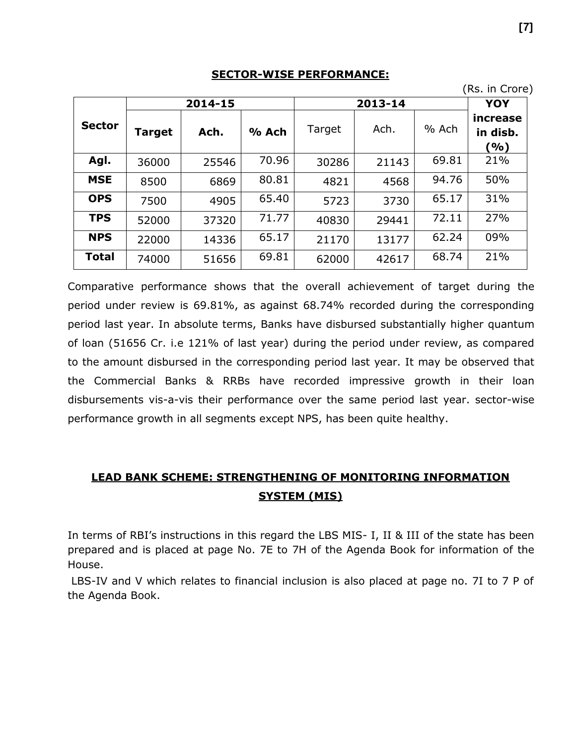#### **SECTOR-WISE PERFORMANCE:**

|               |        |         |       |        |         |       | , טוסוט ווויטרון            |
|---------------|--------|---------|-------|--------|---------|-------|-----------------------------|
|               |        | 2014-15 |       |        | 2013-14 |       | YOY                         |
| <b>Sector</b> | Target | Ach.    | % Ach | Target | Ach.    | % Ach | increase<br>in disb.<br>(%) |
| Agl.          | 36000  | 25546   | 70.96 | 30286  | 21143   | 69.81 | 21%                         |
| <b>MSE</b>    | 8500   | 6869    | 80.81 | 4821   | 4568    | 94.76 | 50%                         |
| <b>OPS</b>    | 7500   | 4905    | 65.40 | 5723   | 3730    | 65.17 | 31%                         |
| <b>TPS</b>    | 52000  | 37320   | 71.77 | 40830  | 29441   | 72.11 | 27%                         |
| <b>NPS</b>    | 22000  | 14336   | 65.17 | 21170  | 13177   | 62.24 | 09%                         |
| <b>Total</b>  | 74000  | 51656   | 69.81 | 62000  | 42617   | 68.74 | 21%                         |

Comparative performance shows that the overall achievement of target during the period under review is 69.81%, as against 68.74% recorded during the corresponding period last year. In absolute terms, Banks have disbursed substantially higher quantum of loan (51656 Cr. i.e 121% of last year) during the period under review, as compared to the amount disbursed in the corresponding period last year. It may be observed that the Commercial Banks & RRBs have recorded impressive growth in their loan disbursements vis-a-vis their performance over the same period last year. sector-wise performance growth in all segments except NPS, has been quite healthy.

# **LEAD BANK SCHEME: STRENGTHENING OF MONITORING INFORMATION SYSTEM (MIS)**

In terms of RBI's instructions in this regard the LBS MIS- I, II & III of the state has been prepared and is placed at page No. 7E to 7H of the Agenda Book for information of the House.

LBS-IV and V which relates to financial inclusion is also placed at page no. 7I to 7 P of the Agenda Book.

(Rs. in Crore)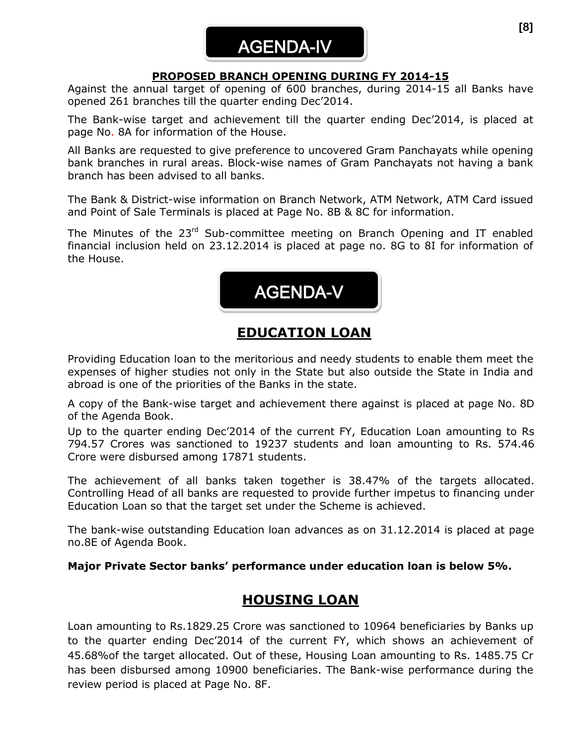# AGENDA-IV

## **PROPOSED BRANCH OPENING DURING FY 2014-15**

Against the annual target of opening of 600 branches, during 2014-15 all Banks have opened 261 branches till the quarter ending Dec'2014.

The Bank-wise target and achievement till the quarter ending Dec'2014, is placed at page No. 8A for information of the House.

All Banks are requested to give preference to uncovered Gram Panchayats while opening bank branches in rural areas. Block-wise names of Gram Panchayats not having a bank branch has been advised to all banks.

The Bank & District-wise information on Branch Network, ATM Network, ATM Card issued and Point of Sale Terminals is placed at Page No. 8B & 8C for information.

The Minutes of the 23<sup>rd</sup> Sub-committee meeting on Branch Opening and IT enabled financial inclusion held on 23.12.2014 is placed at page no. 8G to 8I for information of the House.



# **EDUCATION LOAN**

Providing Education loan to the meritorious and needy students to enable them meet the expenses of higher studies not only in the State but also outside the State in India and abroad is one of the priorities of the Banks in the state.

A copy of the Bank-wise target and achievement there against is placed at page No. 8D of the Agenda Book.

Up to the quarter ending Dec'2014 of the current FY, Education Loan amounting to Rs 794.57 Crores was sanctioned to 19237 students and loan amounting to Rs. 574.46 Crore were disbursed among 17871 students.

The achievement of all banks taken together is 38.47% of the targets allocated. Controlling Head of all banks are requested to provide further impetus to financing under Education Loan so that the target set under the Scheme is achieved.

The bank-wise outstanding Education loan advances as on 31.12.2014 is placed at page no.8E of Agenda Book.

#### **Major Private Sector banks' performance under education loan is below 5%.**

# **HOUSING LOAN**

Loan amounting to Rs.1829.25 Crore was sanctioned to 10964 beneficiaries by Banks up to the quarter ending Dec'2014 of the current FY, which shows an achievement of 45.68%of the target allocated. Out of these, Housing Loan amounting to Rs. 1485.75 Cr has been disbursed among 10900 beneficiaries. The Bank-wise performance during the review period is placed at Page No. 8F.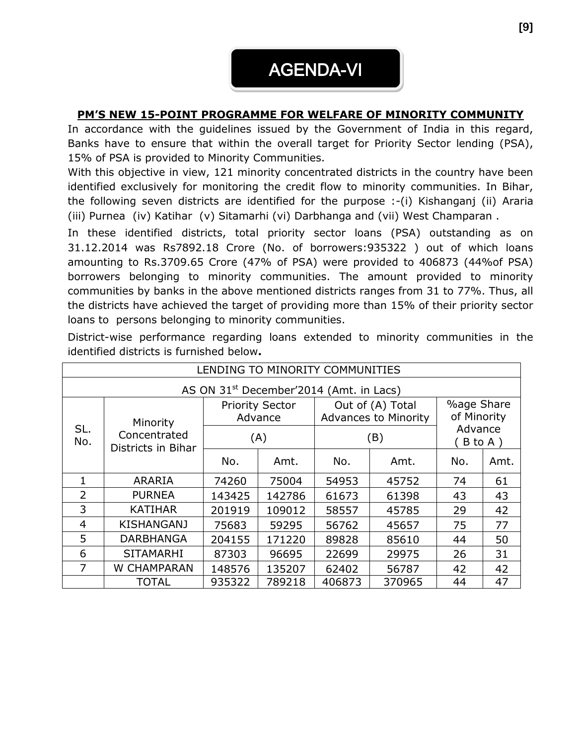# **PM'S NEW 15-POINT PROGRAMME FOR WELFARE OF MINORITY COMMUNITY**

In accordance with the guidelines issued by the Government of India in this regard, Banks have to ensure that within the overall target for Priority Sector lending (PSA), 15% of PSA is provided to Minority Communities.

With this objective in view, 121 minority concentrated districts in the country have been identified exclusively for monitoring the credit flow to minority communities. In Bihar, the following seven districts are identified for the purpose :-(i) Kishanganj (ii) Araria (iii) Purnea (iv) Katihar (v) Sitamarhi (vi) Darbhanga and (vii) West Champaran .

In these identified districts, total priority sector loans (PSA) outstanding as on 31.12.2014 was Rs7892.18 Crore (No. of borrowers:935322 ) out of which loans amounting to Rs.3709.65 Crore (47% of PSA) were provided to 406873 (44%of PSA) borrowers belonging to minority communities. The amount provided to minority communities by banks in the above mentioned districts ranges from 31 to 77%. Thus, all the districts have achieved the target of providing more than 15% of their priority sector loans to persons belonging to minority communities.

|                                                              | LENDING TO MINORITY COMMUNITIES                     |                                   |        |                                                 |        |                                  |      |  |  |
|--------------------------------------------------------------|-----------------------------------------------------|-----------------------------------|--------|-------------------------------------------------|--------|----------------------------------|------|--|--|
|                                                              | AS ON 31 <sup>st</sup> December'2014 (Amt. in Lacs) |                                   |        |                                                 |        |                                  |      |  |  |
| Minority<br>SL.<br>Concentrated<br>No.<br>Districts in Bihar |                                                     | <b>Priority Sector</b><br>Advance |        | Out of (A) Total<br><b>Advances to Minority</b> |        | <b>%age Share</b><br>of Minority |      |  |  |
|                                                              |                                                     | (A)                               |        | (B)                                             |        | Advance<br>B to A)               |      |  |  |
|                                                              |                                                     | No.                               | Amt.   | No.                                             | Amt.   | No.                              | Amt. |  |  |
| 1                                                            | <b>ARARIA</b>                                       | 74260                             | 75004  | 54953                                           | 45752  | 74                               | 61   |  |  |
| $\overline{2}$                                               | <b>PURNEA</b>                                       | 143425                            | 142786 | 61673                                           | 61398  | 43                               | 43   |  |  |
| 3                                                            | <b>KATIHAR</b>                                      | 201919                            | 109012 | 58557                                           | 45785  | 29                               | 42   |  |  |
| 4                                                            | <b>KISHANGANJ</b>                                   | 75683                             | 59295  | 56762                                           | 45657  | 75                               | 77   |  |  |
| 5                                                            | <b>DARBHANGA</b>                                    | 204155                            | 171220 | 89828                                           | 85610  | 44                               | 50   |  |  |
| 6                                                            | <b>SITAMARHI</b>                                    | 87303                             | 96695  | 22699                                           | 29975  | 26                               | 31   |  |  |
| $\overline{7}$                                               | W CHAMPARAN                                         | 148576                            | 135207 | 62402                                           | 56787  | 42                               | 42   |  |  |
|                                                              | <b>TOTAL</b>                                        | 935322                            | 789218 | 406873                                          | 370965 | 44                               | 47   |  |  |

District-wise performance regarding loans extended to minority communities in the identified districts is furnished below**.**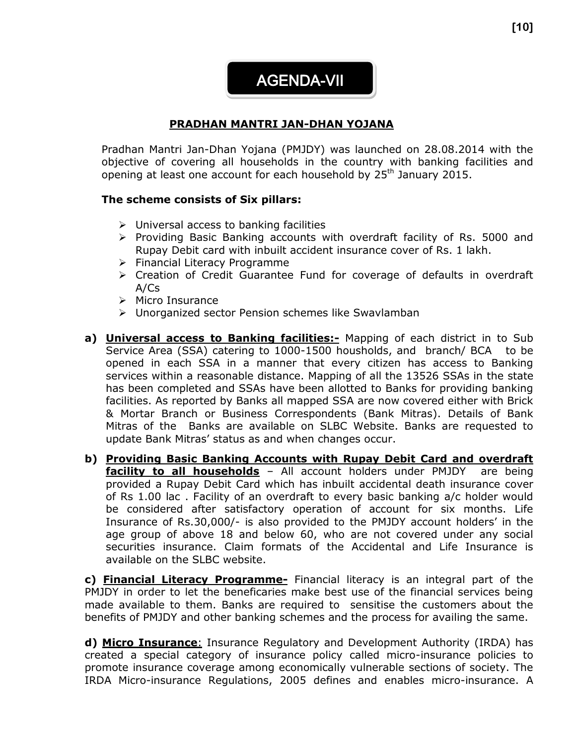AGENDA-VII

# **PRADHAN MANTRI JAN-DHAN YOJANA**

Pradhan Mantri Jan-Dhan Yojana (PMJDY) was launched on 28.08.2014 with the objective of covering all households in the country with banking facilities and opening at least one account for each household by  $25<sup>th</sup>$  January 2015.

#### **The scheme consists of Six pillars:**

- $\triangleright$  Universal access to banking facilities
- $\triangleright$  Providing Basic Banking accounts with overdraft facility of Rs. 5000 and Rupay Debit card with inbuilt accident insurance cover of Rs. 1 lakh.
- $\triangleright$  Financial Literacy Programme
- Creation of Credit Guarantee Fund for coverage of defaults in overdraft  $A/Cs$
- $\triangleright$  Micro Insurance
- Unorganized sector Pension schemes like Swavlamban
- **a) Universal access to Banking facilities:-** Mapping of each district in to Sub Service Area (SSA) catering to 1000-1500 housholds, and branch/ BCA to be opened in each SSA in a manner that every citizen has access to Banking services within a reasonable distance. Mapping of all the 13526 SSAs in the state has been completed and SSAs have been allotted to Banks for providing banking facilities. As reported by Banks all mapped SSA are now covered either with Brick & Mortar Branch or Business Correspondents (Bank Mitras). Details of Bank Mitras of the Banks are available on SLBC Website. Banks are requested to update Bank Mitras' status as and when changes occur.
- **b) Providing Basic Banking Accounts with Rupay Debit Card and overdraft facility to all households** - All account holders under PMJDY are being provided a Rupay Debit Card which has inbuilt accidental death insurance cover of Rs 1.00 lac . Facility of an overdraft to every basic banking a/c holder would be considered after satisfactory operation of account for six months. Life Insurance of Rs.30,000/- is also provided to the PMJDY account holders' in the age group of above 18 and below 60, who are not covered under any social securities insurance. Claim formats of the Accidental and Life Insurance is available on the SLBC website.

**c) Financial Literacy Programme-** Financial literacy is an integral part of the PMJDY in order to let the beneficaries make best use of the financial services being made available to them. Banks are required to sensitise the customers about the benefits of PMJDY and other banking schemes and the process for availing the same.

**d) Micro Insurance**: Insurance Regulatory and Development Authority (IRDA) has created a special category of insurance policy called micro-insurance policies to promote insurance coverage among economically vulnerable sections of society. The IRDA Micro-insurance Regulations, 2005 defines and enables micro-insurance. A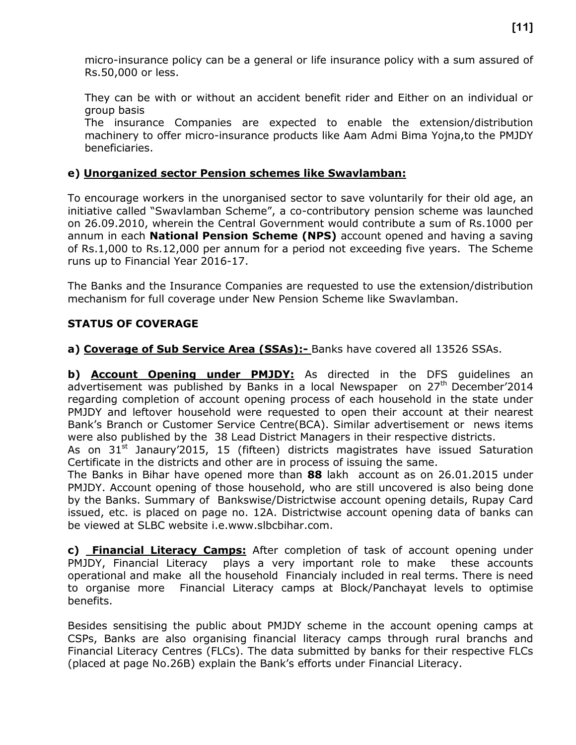micro-insurance policy can be a general or life insurance policy with a sum assured of Rs.50,000 or less.

They can be with or without an accident benefit rider and Either on an individual or group basis

The insurance Companies are expected to enable the extension/distribution machinery to offer micro-insurance products like Aam Admi Bima Yojna,to the PMJDY beneficiaries.

## **e) Unorganized sector Pension schemes like Swavlamban:**

To encourage workers in the unorganised sector to save voluntarily for their old age, an initiative called "Swavlamban Scheme", a co-contributory pension scheme was launched on 26.09.2010, wherein the Central Government would contribute a sum of Rs.1000 per annum in each **National Pension Scheme (NPS)** account opened and having a saving of Rs.1,000 to Rs.12,000 per annum for a period not exceeding five years. The Scheme runs up to Financial Year 2016-17.

The Banks and the Insurance Companies are requested to use the extension/distribution mechanism for full coverage under New Pension Scheme like Swavlamban.

#### **STATUS OF COVERAGE**

**a) Coverage of Sub Service Area (SSAs):-** Banks have covered all 13526 SSAs.

**b) Account Opening under PMJDY:** As directed in the DFS guidelines an advertisement was published by Banks in a local Newspaper on 27<sup>th</sup> December'2014 regarding completion of account opening process of each household in the state under PMJDY and leftover household were requested to open their account at their nearest Bank's Branch or Customer Service Centre(BCA). Similar advertisement or news items were also published by the 38 Lead District Managers in their respective districts.

As on  $31<sup>st</sup>$  Janaury'2015, 15 (fifteen) districts magistrates have issued Saturation Certificate in the districts and other are in process of issuing the same.

The Banks in Bihar have opened more than **88** lakh account as on 26.01.2015 under PMJDY. Account opening of those household, who are still uncovered is also being done by the Banks. Summary of Bankswise/Districtwise account opening details, Rupay Card issued, etc. is placed on page no. 12A. Districtwise account opening data of banks can be viewed at SLBC website i.e.www.slbcbihar.com.

**c) Financial Literacy Camps:** After completion of task of account opening under PMJDY, Financial Literacy plays a very important role to make these accounts operational and make all the household Financialy included in real terms. There is need to organise more Financial Literacy camps at Block/Panchayat levels to optimise benefits.

Besides sensitising the public about PMJDY scheme in the account opening camps at CSPs, Banks are also organising financial literacy camps through rural branchs and Financial Literacy Centres (FLCs). The data submitted by banks for their respective FLCs (placed at page No.26B) explain the Bank's efforts under Financial Literacy.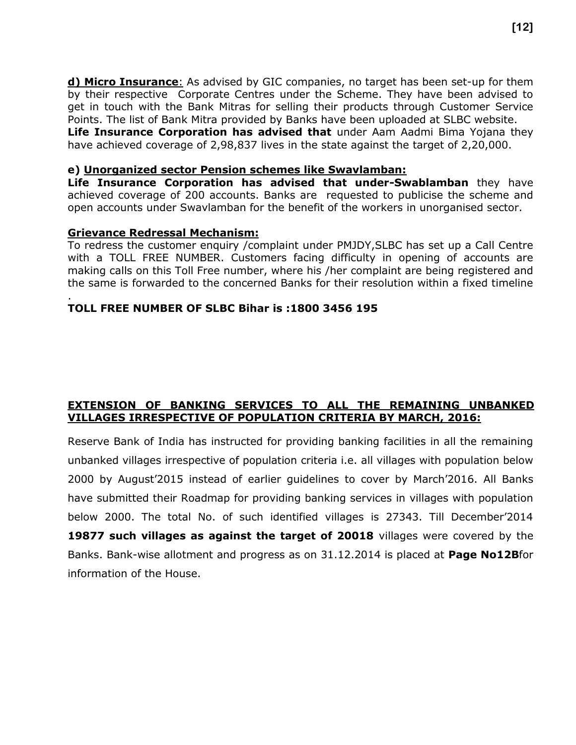**d) Micro Insurance**: As advised by GIC companies, no target has been set-up for them by their respective Corporate Centres under the Scheme. They have been advised to get in touch with the Bank Mitras for selling their products through Customer Service Points. The list of Bank Mitra provided by Banks have been uploaded at SLBC website. **Life Insurance Corporation has advised that** under Aam Aadmi Bima Yojana they have achieved coverage of 2,98,837 lives in the state against the target of 2,20,000.

#### **e) Unorganized sector Pension schemes like Swavlamban:**

**Life Insurance Corporation has advised that under-Swablamban** they have achieved coverage of 200 accounts. Banks are requested to publicise the scheme and open accounts under Swavlamban for the benefit of the workers in unorganised sector.

#### **Grievance Redressal Mechanism:**

To redress the customer enquiry /complaint under PMJDY,SLBC has set up a Call Centre with a TOLL FREE NUMBER. Customers facing difficulty in opening of accounts are making calls on this Toll Free number, where his /her complaint are being registered and the same is forwarded to the concerned Banks for their resolution within a fixed timeline

#### . **TOLL FREE NUMBER OF SLBC Bihar is :1800 3456 195**

## **EXTENSION OF BANKING SERVICES TO ALL THE REMAINING UNBANKED VILLAGES IRRESPECTIVE OF POPULATION CRITERIA BY MARCH, 2016:**

Reserve Bank of India has instructed for providing banking facilities in all the remaining unbanked villages irrespective of population criteria i.e. all villages with population below 2000 by August'2015 instead of earlier guidelines to cover by March'2016. All Banks have submitted their Roadmap for providing banking services in villages with population below 2000. The total No. of such identified villages is 27343. Till December'2014 **19877 such villages as against the target of 20018** villages were covered by the Banks. Bank-wise allotment and progress as on 31.12.2014 is placed at **Page No12B**for information of the House.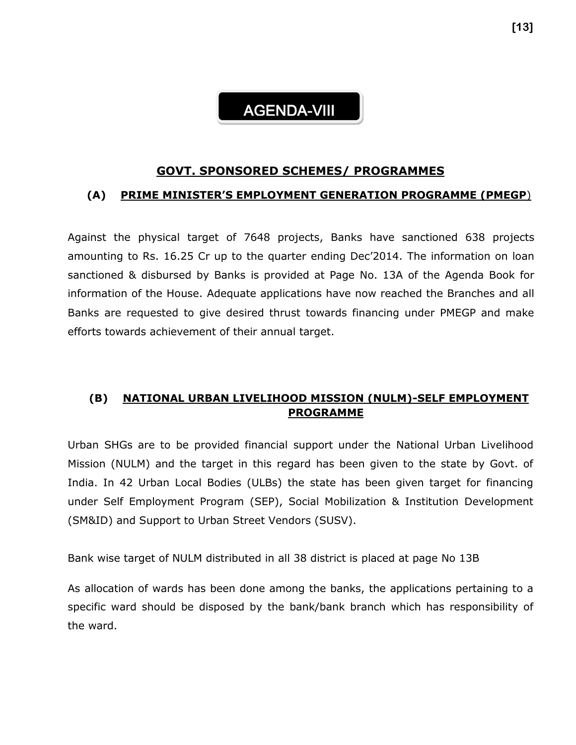# AGENDA-VIII

#### **GOVT. SPONSORED SCHEMES/ PROGRAMMES**

## **(A) PRIME MINISTER'S EMPLOYMENT GENERATION PROGRAMME (PMEGP**)

Against the physical target of 7648 projects, Banks have sanctioned 638 projects amounting to Rs. 16.25 Cr up to the quarter ending Dec'2014. The information on loan sanctioned & disbursed by Banks is provided at Page No. 13A of the Agenda Book for information of the House. Adequate applications have now reached the Branches and all Banks are requested to give desired thrust towards financing under PMEGP and make efforts towards achievement of their annual target.

# **(B) NATIONAL URBAN LIVELIHOOD MISSION (NULM)-SELF EMPLOYMENT PROGRAMME**

Urban SHGs are to be provided financial support under the National Urban Livelihood Mission (NULM) and the target in this regard has been given to the state by Govt. of India. In 42 Urban Local Bodies (ULBs) the state has been given target for financing under Self Employment Program (SEP), Social Mobilization & Institution Development (SM&ID) and Support to Urban Street Vendors (SUSV).

Bank wise target of NULM distributed in all 38 district is placed at page No 13B

As allocation of wards has been done among the banks, the applications pertaining to a specific ward should be disposed by the bank/bank branch which has responsibility of the ward.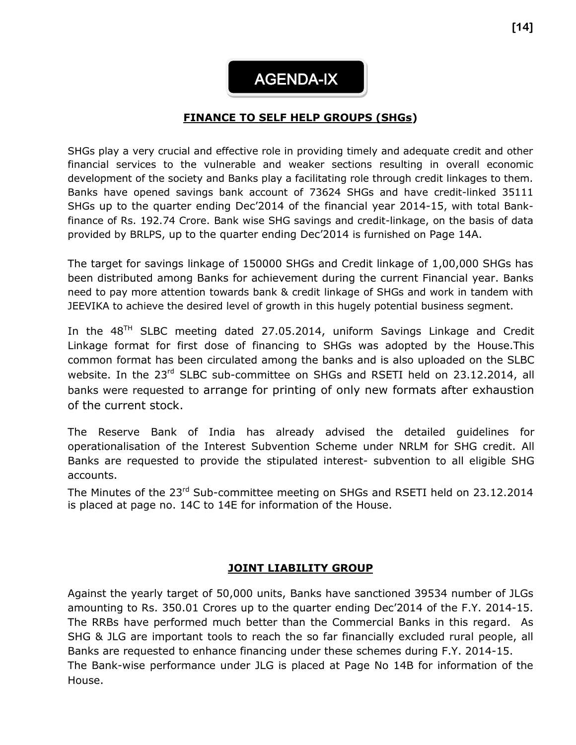AGENDA-IX

## **FINANCE TO SELF HELP GROUPS (SHGs)**

SHGs play a very crucial and effective role in providing timely and adequate credit and other financial services to the vulnerable and weaker sections resulting in overall economic development of the society and Banks play a facilitating role through credit linkages to them. Banks have opened savings bank account of 73624 SHGs and have credit-linked 35111 SHGs up to the quarter ending Dec'2014 of the financial year 2014-15, with total Bankfinance of Rs. 192.74 Crore. Bank wise SHG savings and credit-linkage, on the basis of data provided by BRLPS, up to the quarter ending Dec'2014 is furnished on Page 14A.

The target for savings linkage of 150000 SHGs and Credit linkage of 1,00,000 SHGs has been distributed among Banks for achievement during the current Financial year. Banks need to pay more attention towards bank & credit linkage of SHGs and work in tandem with JEEVIKA to achieve the desired level of growth in this hugely potential business segment.

In the  $48<sup>TH</sup>$  SLBC meeting dated 27.05.2014, uniform Savings Linkage and Credit Linkage format for first dose of financing to SHGs was adopted by the House.This common format has been circulated among the banks and is also uploaded on the SLBC website. In the 23<sup>rd</sup> SLBC sub-committee on SHGs and RSETI held on 23.12.2014, all banks were requested to arrange for printing of only new formats after exhaustion of the current stock.

The Reserve Bank of India has already advised the detailed guidelines for operationalisation of the Interest Subvention Scheme under NRLM for SHG credit. All Banks are requested to provide the stipulated interest- subvention to all eligible SHG accounts.

The Minutes of the 23<sup>rd</sup> Sub-committee meeting on SHGs and RSETI held on 23.12.2014 is placed at page no. 14C to 14E for information of the House.

#### **JOINT LIABILITY GROUP**

Against the yearly target of 50,000 units, Banks have sanctioned 39534 number of JLGs amounting to Rs. 350.01 Crores up to the quarter ending Dec'2014 of the F.Y. 2014-15. The RRBs have performed much better than the Commercial Banks in this regard. As SHG & JLG are important tools to reach the so far financially excluded rural people, all Banks are requested to enhance financing under these schemes during F.Y. 2014-15. The Bank-wise performance under JLG is placed at Page No 14B for information of the House.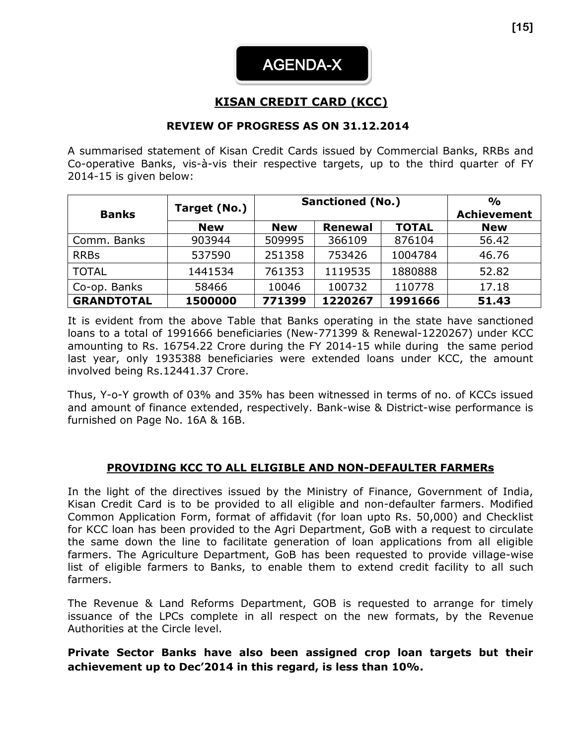# **KISAN CREDIT CARD (KCC)**

## **REVIEW OF PROGRESS AS ON 31.12.2014**

A summarised statement of Kisan Credit Cards issued by Commercial Banks, RRBs and Co-operative Banks, vis-à-vis their respective targets, up to the third quarter of FY 2014-15 is given below:

|                   |              |            | <b>Sanctioned (No.)</b> | $\frac{0}{0}$ |            |
|-------------------|--------------|------------|-------------------------|---------------|------------|
| <b>Banks</b>      | Target (No.) |            | <b>Achievement</b>      |               |            |
|                   | <b>New</b>   | <b>New</b> | <b>Renewal</b>          | <b>TOTAL</b>  | <b>New</b> |
| Comm. Banks       | 903944       | 509995     | 366109                  | 876104        | 56.42      |
| <b>RRBs</b>       | 537590       | 251358     | 753426                  | 1004784       | 46.76      |
| <b>TOTAL</b>      | 1441534      | 761353     | 1119535                 | 1880888       | 52.82      |
| Co-op. Banks      | 58466        | 10046      | 100732                  | 110778        | 17.18      |
| <b>GRANDTOTAL</b> | 1500000      | 771399     | 1220267                 | 1991666       | 51.43      |

It is evident from the above Table that Banks operating in the state have sanctioned loans to a total of 1991666 beneficiaries (New-771399 & Renewal-1220267) under KCC amounting to Rs. 16754.22 Crore during the FY 2014-15 while during the same period last year, only 1935388 beneficiaries were extended loans under KCC, the amount involved being Rs.12441.37 Crore.

Thus, Y-o-Y growth of 03% and 35% has been witnessed in terms of no. of KCCs issued and amount of finance extended, respectively. Bank-wise & District-wise performance is furnished on Page No. 16A & 16B.

#### **PROVIDING KCC TO ALL ELIGIBLE AND NON-DEFAULTER FARMERs**

In the light of the directives issued by the Ministry of Finance, Government of India, Kisan Credit Card is to be provided to all eligible and non-defaulter farmers. Modified Common Application Form, format of affidavit (for loan upto Rs. 50,000) and Checklist for KCC loan has been provided to the Agri Department, GoB with a request to circulate the same down the line to facilitate generation of loan applications from all eligible farmers. The Agriculture Department, GoB has been requested to provide village-wise list of eligible farmers to Banks, to enable them to extend credit facility to all such farmers.

The Revenue & Land Reforms Department, GOB is requested to arrange for timely issuance of the LPCs complete in all respect on the new formats, by the Revenue Authorities at the Circle level.

## **Private Sector Banks have also been assigned crop loan targets but their achievement up to Dec'2014 in this regard, is less than 10%.**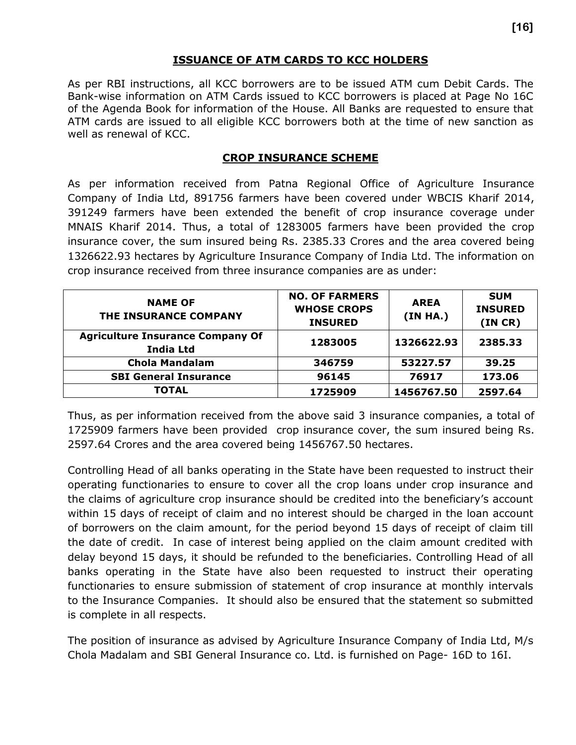# **ISSUANCE OF ATM CARDS TO KCC HOLDERS**

As per RBI instructions, all KCC borrowers are to be issued ATM cum Debit Cards. The Bank-wise information on ATM Cards issued to KCC borrowers is placed at Page No 16C of the Agenda Book for information of the House. All Banks are requested to ensure that ATM cards are issued to all eligible KCC borrowers both at the time of new sanction as well as renewal of KCC.

## **CROP INSURANCE SCHEME**

As per information received from Patna Regional Office of Agriculture Insurance Company of India Ltd, 891756 farmers have been covered under WBCIS Kharif 2014, 391249 farmers have been extended the benefit of crop insurance coverage under MNAIS Kharif 2014. Thus, a total of 1283005 farmers have been provided the crop insurance cover, the sum insured being Rs. 2385.33 Crores and the area covered being 1326622.93 hectares by Agriculture Insurance Company of India Ltd. The information on crop insurance received from three insurance companies are as under:

| <b>NAME OF</b><br>THE INSURANCE COMPANY                     | <b>NO. OF FARMERS</b><br><b>WHOSE CROPS</b><br><b>INSURED</b> | <b>AREA</b><br>(IN HA.) | <b>SUM</b><br><b>INSURED</b><br>(INCR) |
|-------------------------------------------------------------|---------------------------------------------------------------|-------------------------|----------------------------------------|
| <b>Agriculture Insurance Company Of</b><br><b>India Ltd</b> | 1283005                                                       | 1326622.93              | 2385.33                                |
| <b>Chola Mandalam</b>                                       | 346759                                                        | 53227.57                | 39.25                                  |
| <b>SBI General Insurance</b>                                | 96145                                                         | 76917                   | 173.06                                 |
| <b>TOTAL</b>                                                | 1725909                                                       | 1456767.50              | 2597.64                                |

Thus, as per information received from the above said 3 insurance companies, a total of 1725909 farmers have been provided crop insurance cover, the sum insured being Rs. 2597.64 Crores and the area covered being 1456767.50 hectares.

Controlling Head of all banks operating in the State have been requested to instruct their operating functionaries to ensure to cover all the crop loans under crop insurance and the claims of agriculture crop insurance should be credited into the beneficiary's account within 15 days of receipt of claim and no interest should be charged in the loan account of borrowers on the claim amount, for the period beyond 15 days of receipt of claim till the date of credit. In case of interest being applied on the claim amount credited with delay beyond 15 days, it should be refunded to the beneficiaries. Controlling Head of all banks operating in the State have also been requested to instruct their operating functionaries to ensure submission of statement of crop insurance at monthly intervals to the Insurance Companies. It should also be ensured that the statement so submitted is complete in all respects.

The position of insurance as advised by Agriculture Insurance Company of India Ltd, M/s Chola Madalam and SBI General Insurance co. Ltd. is furnished on Page- 16D to 16I.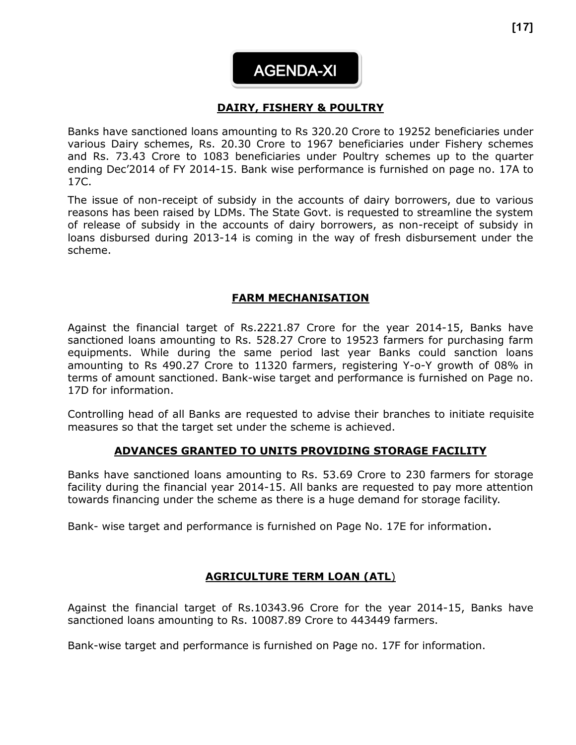#### **DAIRY, FISHERY & POULTRY**   $\overline{\phantom{a}}$

Banks have sanctioned loans amounting to Rs 320.20 Crore to 19252 beneficiaries under various Dairy schemes, Rs. 20.30 Crore to 1967 beneficiaries under Fishery schemes and Rs. 73.43 Crore to 1083 beneficiaries under Poultry schemes up to the quarter ending Dec'2014 of FY 2014-15. Bank wise performance is furnished on page no. 17A to 17C.

The issue of non-receipt of subsidy in the accounts of dairy borrowers, due to various reasons has been raised by LDMs. The State Govt. is requested to streamline the system of release of subsidy in the accounts of dairy borrowers, as non-receipt of subsidy in loans disbursed during 2013-14 is coming in the way of fresh disbursement under the scheme.

## **FARM MECHANISATION**

Against the financial target of Rs.2221.87 Crore for the year 2014-15, Banks have sanctioned loans amounting to Rs. 528.27 Crore to 19523 farmers for purchasing farm equipments. While during the same period last year Banks could sanction loans amounting to Rs 490.27 Crore to 11320 farmers, registering Y-o-Y growth of 08% in terms of amount sanctioned. Bank-wise target and performance is furnished on Page no. 17D for information.

Controlling head of all Banks are requested to advise their branches to initiate requisite measures so that the target set under the scheme is achieved.

#### **ADVANCES GRANTED TO UNITS PROVIDING STORAGE FACILITY**

Banks have sanctioned loans amounting to Rs. 53.69 Crore to 230 farmers for storage facility during the financial year 2014-15. All banks are requested to pay more attention towards financing under the scheme as there is a huge demand for storage facility.

Bank- wise target and performance is furnished on Page No. 17E for information.

#### **AGRICULTURE TERM LOAN (ATL**)

Against the financial target of Rs.10343.96 Crore for the year 2014-15, Banks have sanctioned loans amounting to Rs. 10087.89 Crore to 443449 farmers.

Bank-wise target and performance is furnished on Page no. 17F for information.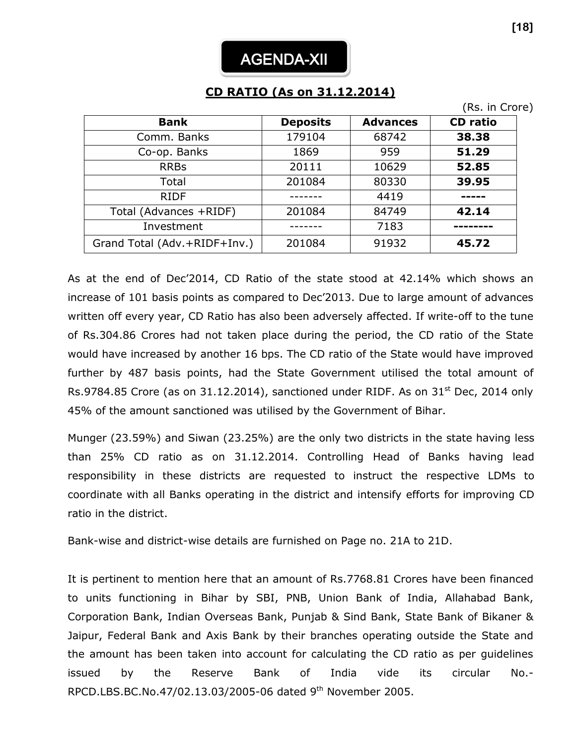# **CD RATIO (As on 31.12.2014)**

|                              |                 |                 | (Rs. in Crore)  |
|------------------------------|-----------------|-----------------|-----------------|
| <b>Bank</b>                  | <b>Deposits</b> | <b>Advances</b> | <b>CD</b> ratio |
| Comm. Banks                  | 179104          | 68742           | 38.38           |
| Co-op. Banks                 | 1869            | 959             | 51.29           |
| <b>RRBs</b>                  | 20111           | 10629           | 52.85           |
| Total                        | 201084          | 80330           | 39.95           |
| <b>RIDF</b>                  |                 | 4419            |                 |
| Total (Advances +RIDF)       | 201084          | 84749           | 42.14           |
| Investment                   |                 | 7183            |                 |
| Grand Total (Adv.+RIDF+Inv.) | 201084          | 91932           | 45.72           |

As at the end of Dec'2014, CD Ratio of the state stood at 42.14% which shows an increase of 101 basis points as compared to Dec'2013. Due to large amount of advances written off every year, CD Ratio has also been adversely affected. If write-off to the tune of Rs.304.86 Crores had not taken place during the period, the CD ratio of the State would have increased by another 16 bps. The CD ratio of the State would have improved further by 487 basis points, had the State Government utilised the total amount of Rs.9784.85 Crore (as on 31.12.2014), sanctioned under RIDF. As on  $31<sup>st</sup>$  Dec, 2014 only 45% of the amount sanctioned was utilised by the Government of Bihar.

Munger (23.59%) and Siwan (23.25%) are the only two districts in the state having less than 25% CD ratio as on 31.12.2014. Controlling Head of Banks having lead responsibility in these districts are requested to instruct the respective LDMs to coordinate with all Banks operating in the district and intensify efforts for improving CD ratio in the district.

Bank-wise and district-wise details are furnished on Page no. 21A to 21D.

It is pertinent to mention here that an amount of Rs.7768.81 Crores have been financed to units functioning in Bihar by SBI, PNB, Union Bank of India, Allahabad Bank, Corporation Bank, Indian Overseas Bank, Punjab & Sind Bank, State Bank of Bikaner & Jaipur, Federal Bank and Axis Bank by their branches operating outside the State and the amount has been taken into account for calculating the CD ratio as per guidelines issued by the Reserve Bank of India vide its circular No.- RPCD.LBS.BC.No.47/02.13.03/2005-06 dated 9th November 2005.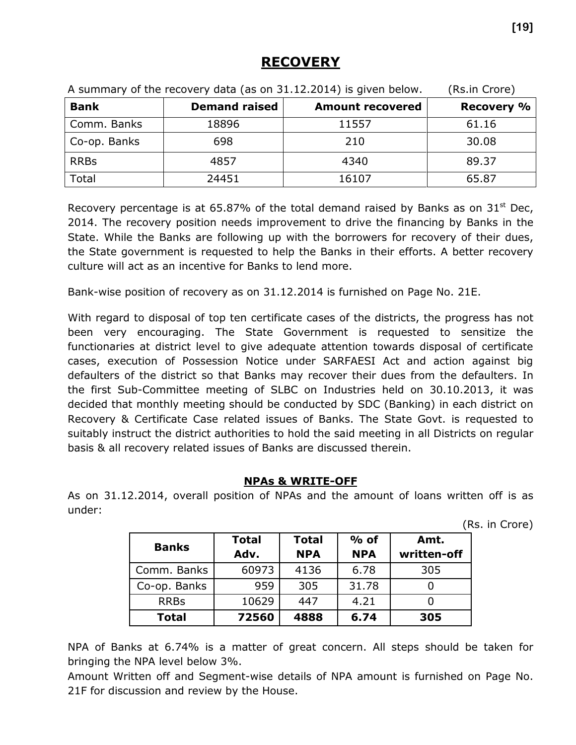# **RECOVERY**

| A summary of the recovery data (as on 31.12.2014) is given below. | (Rs.in Crore)        |                         |                   |
|-------------------------------------------------------------------|----------------------|-------------------------|-------------------|
| <b>Bank</b>                                                       | <b>Demand raised</b> | <b>Amount recovered</b> | <b>Recovery %</b> |
| Comm. Banks                                                       | 18896                | 11557                   | 61.16             |
| Co-op. Banks                                                      | 698                  | 210                     | 30.08             |
| <b>RRBs</b>                                                       | 4857                 | 4340                    | 89.37             |
| Total                                                             | 24451                | 16107                   | 65.87             |

Recovery percentage is at 65.87% of the total demand raised by Banks as on  $31<sup>st</sup>$  Dec, 2014. The recovery position needs improvement to drive the financing by Banks in the State. While the Banks are following up with the borrowers for recovery of their dues, the State government is requested to help the Banks in their efforts. A better recovery culture will act as an incentive for Banks to lend more.

Bank-wise position of recovery as on 31.12.2014 is furnished on Page No. 21E.

With regard to disposal of top ten certificate cases of the districts, the progress has not been very encouraging. The State Government is requested to sensitize the functionaries at district level to give adequate attention towards disposal of certificate cases, execution of Possession Notice under SARFAESI Act and action against big defaulters of the district so that Banks may recover their dues from the defaulters. In the first Sub-Committee meeting of SLBC on Industries held on 30.10.2013, it was decided that monthly meeting should be conducted by SDC (Banking) in each district on Recovery & Certificate Case related issues of Banks. The State Govt. is requested to suitably instruct the district authorities to hold the said meeting in all Districts on regular basis & all recovery related issues of Banks are discussed therein.

# **NPAs & WRITE-OFF**

As on 31.12.2014, overall position of NPAs and the amount of loans written off is as under:

(Rs. in Crore)

| <b>Banks</b> | <b>Total</b><br>Adv. | <b>Total</b><br><b>NPA</b> | $%$ of<br><b>NPA</b> | Amt.<br>written-off |
|--------------|----------------------|----------------------------|----------------------|---------------------|
| Comm. Banks  | 60973                | 4136                       | 6.78                 | 305                 |
| Co-op. Banks | 959                  | 305                        | 31.78                |                     |
| <b>RRBs</b>  | 10629                | 447                        | 4.21                 |                     |
| <b>Total</b> | 72560                | 4888                       | 6.74                 | 305                 |

NPA of Banks at 6.74% is a matter of great concern. All steps should be taken for bringing the NPA level below 3%.

Amount Written off and Segment-wise details of NPA amount is furnished on Page No. 21F for discussion and review by the House.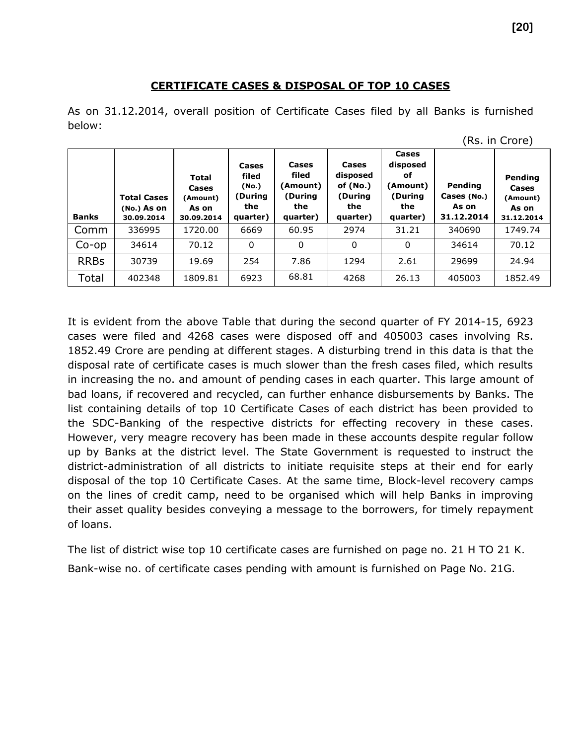## **CERTIFICATE CASES & DISPOSAL OF TOP 10 CASES**

As on 31.12.2014, overall position of Certificate Cases filed by all Banks is furnished below:

| <b>Banks</b> | <b>Total Cases</b><br>$(No.)$ As on<br>30.09.2014 | <b>Total</b><br>Cases<br>(Amount)<br>As on<br>30.09.2014 | Cases<br>filed<br>(No.)<br>(During<br>the<br>quarter) | Cases<br>filed<br>(Amount)<br>(During<br>the<br>quarter) | Cases<br>disposed<br>of (No.)<br>(During<br>the<br>quarter) | Cases<br>disposed<br>оf<br>(Amount)<br>(During<br>the<br>quarter) | Pending<br>Cases (No.)<br>As on<br>31.12.2014 | Pending<br>Cases<br>(Amount)<br>As on<br>31.12.2014 |
|--------------|---------------------------------------------------|----------------------------------------------------------|-------------------------------------------------------|----------------------------------------------------------|-------------------------------------------------------------|-------------------------------------------------------------------|-----------------------------------------------|-----------------------------------------------------|
| Comm         | 336995                                            | 1720.00                                                  | 6669                                                  | 60.95                                                    | 2974                                                        | 31.21                                                             | 340690                                        | 1749.74                                             |
| $Co$ -op     | 34614                                             | 70.12                                                    | 0                                                     | 0                                                        | 0                                                           | 0                                                                 | 34614                                         | 70.12                                               |
| <b>RRBs</b>  | 30739                                             | 19.69                                                    | 254                                                   | 7.86                                                     | 1294                                                        | 2.61                                                              | 29699                                         | 24.94                                               |
| Total        | 402348                                            | 1809.81                                                  | 6923                                                  | 68.81                                                    | 4268                                                        | 26.13                                                             | 405003                                        | 1852.49                                             |

| It is evident from the above Table that during the second quarter of FY 2014-15, 6923       |
|---------------------------------------------------------------------------------------------|
| cases were filed and 4268 cases were disposed off and 405003 cases involving Rs.            |
| 1852.49 Crore are pending at different stages. A disturbing trend in this data is that the  |
| disposal rate of certificate cases is much slower than the fresh cases filed, which results |
| in increasing the no. and amount of pending cases in each quarter. This large amount of     |
| bad loans, if recovered and recycled, can further enhance disbursements by Banks. The       |
| list containing details of top 10 Certificate Cases of each district has been provided to   |
| the SDC-Banking of the respective districts for effecting recovery in these cases.          |
| However, very meagre recovery has been made in these accounts despite regular follow        |
| up by Banks at the district level. The State Government is requested to instruct the        |
| district-administration of all districts to initiate requisite steps at their end for early |
| disposal of the top 10 Certificate Cases. At the same time, Block-level recovery camps      |
| on the lines of credit camp, need to be organised which will help Banks in improving        |
| their asset quality besides conveying a message to the borrowers, for timely repayment      |
| of loans.                                                                                   |

The list of district wise top 10 certificate cases are furnished on page no. 21 H TO 21 K. Bank-wise no. of certificate cases pending with amount is furnished on Page No. 21G.

<sup>(</sup>Rs. in Crore)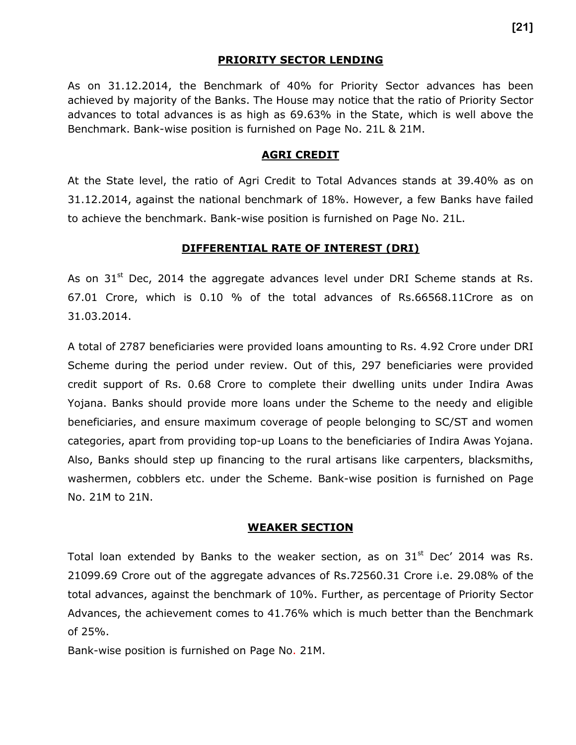#### **PRIORITY SECTOR LENDING**

As on 31.12.2014, the Benchmark of 40% for Priority Sector advances has been achieved by majority of the Banks. The House may notice that the ratio of Priority Sector advances to total advances is as high as 69.63% in the State, which is well above the Benchmark. Bank-wise position is furnished on Page No. 21L & 21M.

#### **AGRI CREDIT**

At the State level, the ratio of Agri Credit to Total Advances stands at 39.40% as on 31.12.2014, against the national benchmark of 18%. However, a few Banks have failed to achieve the benchmark. Bank-wise position is furnished on Page No. 21L.

#### **DIFFERENTIAL RATE OF INTEREST (DRI)**

As on  $31<sup>st</sup>$  Dec, 2014 the aggregate advances level under DRI Scheme stands at Rs. 67.01 Crore, which is 0.10 % of the total advances of Rs.66568.11Crore as on 31.03.2014.

A total of 2787 beneficiaries were provided loans amounting to Rs. 4.92 Crore under DRI Scheme during the period under review. Out of this, 297 beneficiaries were provided credit support of Rs. 0.68 Crore to complete their dwelling units under Indira Awas Yojana. Banks should provide more loans under the Scheme to the needy and eligible beneficiaries, and ensure maximum coverage of people belonging to SC/ST and women categories, apart from providing top-up Loans to the beneficiaries of Indira Awas Yojana. Also, Banks should step up financing to the rural artisans like carpenters, blacksmiths, washermen, cobblers etc. under the Scheme. Bank-wise position is furnished on Page No. 21M to 21N.

#### **WEAKER SECTION**

Total loan extended by Banks to the weaker section, as on  $31<sup>st</sup>$  Dec' 2014 was Rs. 21099.69 Crore out of the aggregate advances of Rs.72560.31 Crore i.e. 29.08% of the total advances, against the benchmark of 10%. Further, as percentage of Priority Sector Advances, the achievement comes to 41.76% which is much better than the Benchmark of 25%.

Bank-wise position is furnished on Page No. 21M.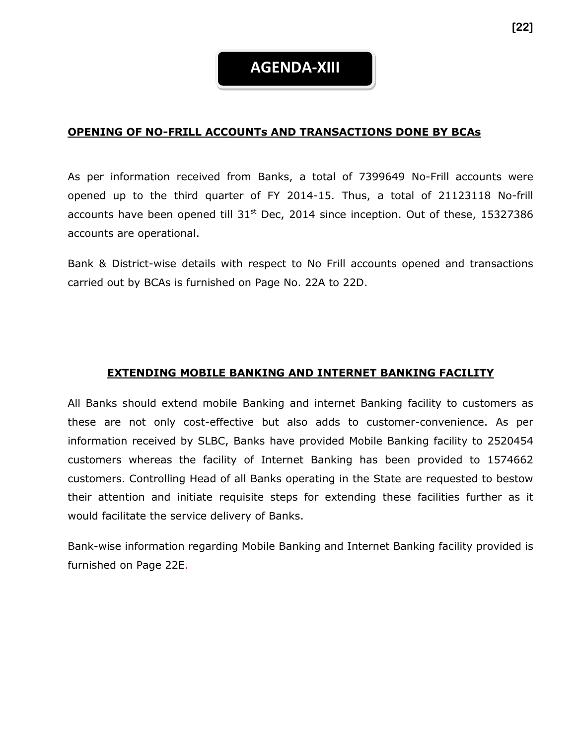# **AGENDA-XIII**

#### **OPENING OF NO-FRILL ACCOUNTs AND TRANSACTIONS DONE BY BCAs**

As per information received from Banks, a total of 7399649 No-Frill accounts were opened up to the third quarter of FY 2014-15. Thus, a total of 21123118 No-frill accounts have been opened till  $31<sup>st</sup>$  Dec, 2014 since inception. Out of these, 15327386 accounts are operational.

Bank & District-wise details with respect to No Frill accounts opened and transactions carried out by BCAs is furnished on Page No. 22A to 22D.

#### **EXTENDING MOBILE BANKING AND INTERNET BANKING FACILITY**

All Banks should extend mobile Banking and internet Banking facility to customers as these are not only cost-effective but also adds to customer-convenience. As per information received by SLBC, Banks have provided Mobile Banking facility to 2520454 customers whereas the facility of Internet Banking has been provided to 1574662 customers. Controlling Head of all Banks operating in the State are requested to bestow their attention and initiate requisite steps for extending these facilities further as it would facilitate the service delivery of Banks.

Bank-wise information regarding Mobile Banking and Internet Banking facility provided is furnished on Page 22E.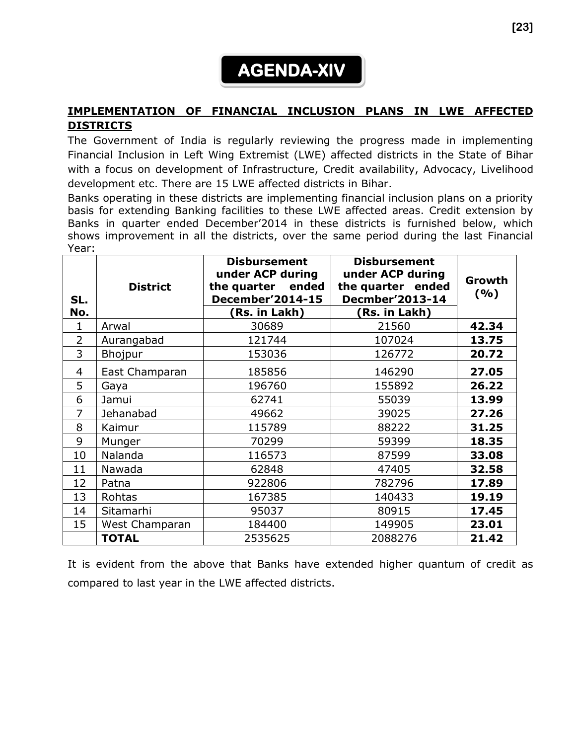# **AGENDA-XIV**

# **IMPLEMENTATION OF FINANCIAL INCLUSION PLANS IN LWE AFFECTED DISTRICTS**

The Government of India is regularly reviewing the progress made in implementing Financial Inclusion in Left Wing Extremist (LWE) affected districts in the State of Bihar with a focus on development of Infrastructure, Credit availability, Advocacy, Livelihood development etc. There are 15 LWE affected districts in Bihar.

Banks operating in these districts are implementing financial inclusion plans on a priority basis for extending Banking facilities to these LWE affected areas. Credit extension by Banks in quarter ended December'2014 in these districts is furnished below, which shows improvement in all the districts, over the same period during the last Financial Year:

| SL.<br>No.     | <b>District</b> | <b>Disbursement</b><br>under ACP during<br>the quarter ended<br><b>December'2014-15</b><br>(Rs. in Lakh) | <b>Disbursement</b><br>under ACP during<br>the quarter ended<br><b>Decmber'2013-14</b><br>(Rs. in Lakh) | Growth<br>(%) |
|----------------|-----------------|----------------------------------------------------------------------------------------------------------|---------------------------------------------------------------------------------------------------------|---------------|
| 1              | Arwal           | 30689                                                                                                    | 21560                                                                                                   | 42.34         |
| $\overline{2}$ | Aurangabad      | 121744                                                                                                   | 107024                                                                                                  | 13.75         |
| 3              | Bhojpur         | 153036                                                                                                   | 126772                                                                                                  | 20.72         |
| 4              | East Champaran  | 185856                                                                                                   | 146290                                                                                                  | 27.05         |
| 5              | Gaya            | 196760                                                                                                   | 155892                                                                                                  | 26.22         |
| 6              | Jamui           | 62741                                                                                                    | 55039                                                                                                   | 13.99         |
| 7              | Jehanabad       | 49662                                                                                                    | 39025                                                                                                   | 27.26         |
| 8              | Kaimur          | 115789                                                                                                   | 88222                                                                                                   | 31.25         |
| 9              | Munger          | 70299                                                                                                    | 59399                                                                                                   | 18.35         |
| 10             | Nalanda         | 116573                                                                                                   | 87599                                                                                                   | 33.08         |
| 11             | Nawada          | 62848                                                                                                    | 47405                                                                                                   | 32.58         |
| 12             | Patna           | 922806                                                                                                   | 782796                                                                                                  | 17.89         |
| 13             | Rohtas          | 167385                                                                                                   | 140433                                                                                                  | 19.19         |
| 14             | Sitamarhi       | 95037                                                                                                    | 80915                                                                                                   | 17.45         |
| 15             | West Champaran  | 184400                                                                                                   | 149905                                                                                                  | 23.01         |
|                | <b>TOTAL</b>    | 2535625                                                                                                  | 2088276                                                                                                 | 21.42         |

It is evident from the above that Banks have extended higher quantum of credit as compared to last year in the LWE affected districts.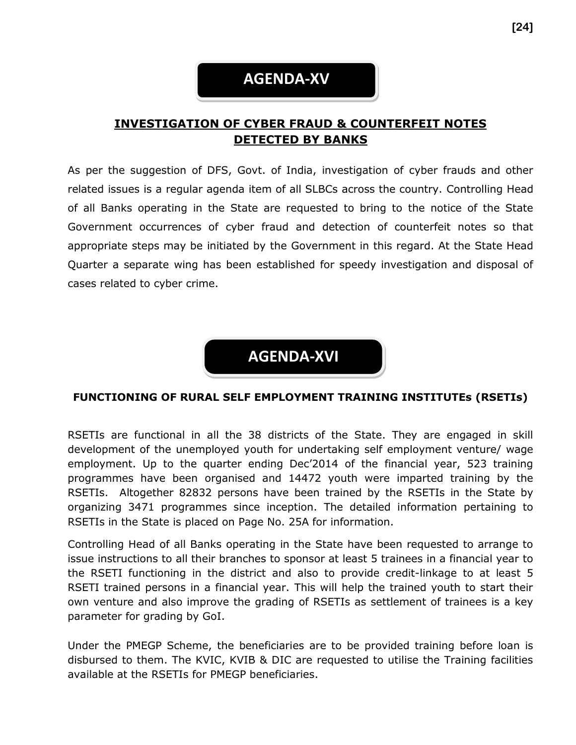# **AGENDA-XV**

# **INVESTIGATION OF CYBER FRAUD & COUNTERFEIT NOTES DETECTED BY BANKS**

As per the suggestion of DFS, Govt. of India, investigation of cyber frauds and other related issues is a regular agenda item of all SLBCs across the country. Controlling Head of all Banks operating in the State are requested to bring to the notice of the State Government occurrences of cyber fraud and detection of counterfeit notes so that appropriate steps may be initiated by the Government in this regard. At the State Head Quarter a separate wing has been established for speedy investigation and disposal of cases related to cyber crime.

**AGENDA-XVI**

#### **FUNCTIONING OF RURAL SELF EMPLOYMENT TRAINING INSTITUTEs (RSETIs)**

RSETIs are functional in all the 38 districts of the State. They are engaged in skill development of the unemployed youth for undertaking self employment venture/ wage employment. Up to the quarter ending Dec'2014 of the financial year, 523 training programmes have been organised and 14472 youth were imparted training by the RSETIs. Altogether 82832 persons have been trained by the RSETIs in the State by organizing 3471 programmes since inception. The detailed information pertaining to RSETIs in the State is placed on Page No. 25A for information.

Controlling Head of all Banks operating in the State have been requested to arrange to issue instructions to all their branches to sponsor at least 5 trainees in a financial year to the RSETI functioning in the district and also to provide credit-linkage to at least 5 RSETI trained persons in a financial year. This will help the trained youth to start their own venture and also improve the grading of RSETIs as settlement of trainees is a key parameter for grading by GoI.

Under the PMEGP Scheme, the beneficiaries are to be provided training before loan is disbursed to them. The KVIC, KVIB & DIC are requested to utilise the Training facilities available at the RSETIs for PMEGP beneficiaries.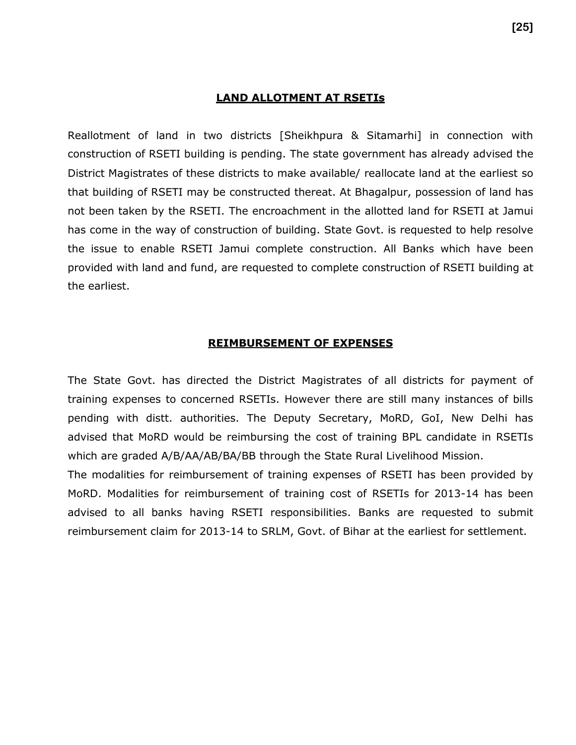#### **LAND ALLOTMENT AT RSETIs**

Reallotment of land in two districts [Sheikhpura & Sitamarhi] in connection with construction of RSETI building is pending. The state government has already advised the District Magistrates of these districts to make available/ reallocate land at the earliest so that building of RSETI may be constructed thereat. At Bhagalpur, possession of land has not been taken by the RSETI. The encroachment in the allotted land for RSETI at Jamui has come in the way of construction of building. State Govt. is requested to help resolve the issue to enable RSETI Jamui complete construction. All Banks which have been provided with land and fund, are requested to complete construction of RSETI building at the earliest.

#### **REIMBURSEMENT OF EXPENSES**

The State Govt. has directed the District Magistrates of all districts for payment of training expenses to concerned RSETIs. However there are still many instances of bills pending with distt. authorities. The Deputy Secretary, MoRD, GoI, New Delhi has advised that MoRD would be reimbursing the cost of training BPL candidate in RSETIs which are graded A/B/AA/AB/BA/BB through the State Rural Livelihood Mission.

The modalities for reimbursement of training expenses of RSETI has been provided by MoRD. Modalities for reimbursement of training cost of RSETIs for 2013-14 has been advised to all banks having RSETI responsibilities. Banks are requested to submit reimbursement claim for 2013-14 to SRLM, Govt. of Bihar at the earliest for settlement.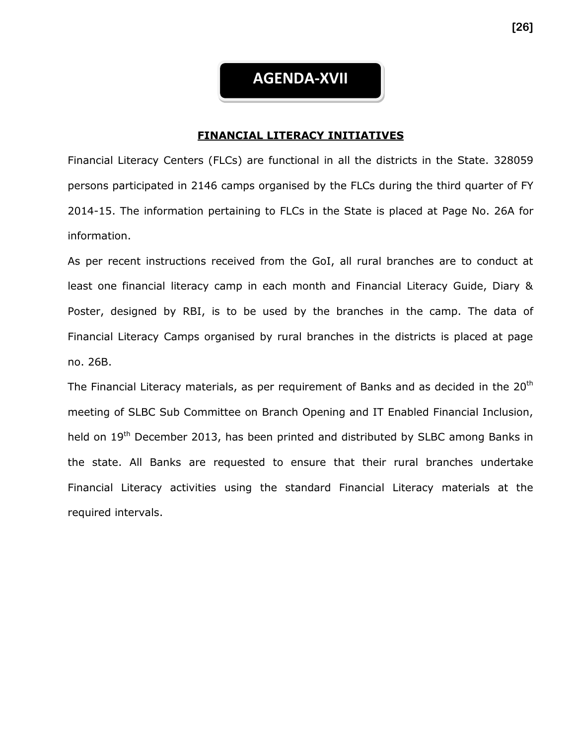# **AGENDA-XVII**

#### **FINANCIAL LITERACY INITIATIVES**

Financial Literacy Centers (FLCs) are functional in all the districts in the State. 328059 persons participated in 2146 camps organised by the FLCs during the third quarter of FY 2014-15. The information pertaining to FLCs in the State is placed at Page No. 26A for information.

As per recent instructions received from the GoI, all rural branches are to conduct at least one financial literacy camp in each month and Financial Literacy Guide, Diary & Poster, designed by RBI, is to be used by the branches in the camp. The data of Financial Literacy Camps organised by rural branches in the districts is placed at page no. 26B.

The Financial Literacy materials, as per requirement of Banks and as decided in the  $20<sup>th</sup>$ meeting of SLBC Sub Committee on Branch Opening and IT Enabled Financial Inclusion, held on 19<sup>th</sup> December 2013, has been printed and distributed by SLBC among Banks in the state. All Banks are requested to ensure that their rural branches undertake Financial Literacy activities using the standard Financial Literacy materials at the required intervals.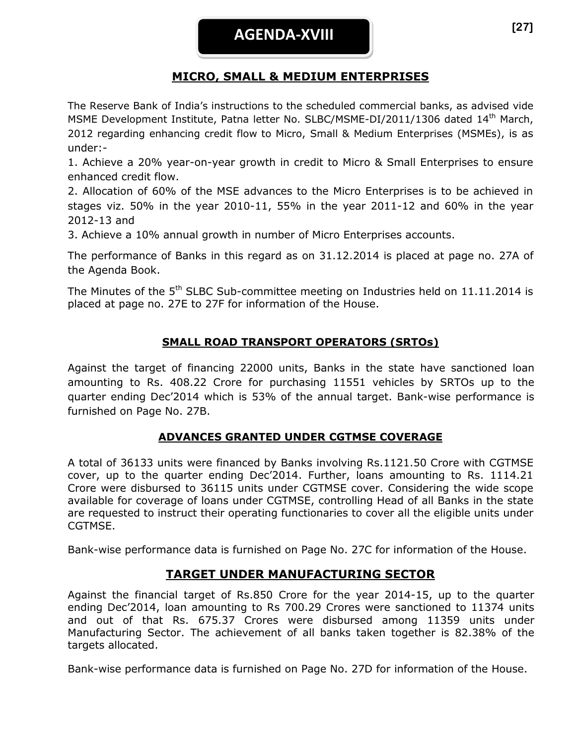# **MICRO, SMALL & MEDIUM ENTERPRISES**

The Reserve Bank of India's instructions to the scheduled commercial banks, as advised vide MSME Development Institute, Patna letter No. SLBC/MSME-DI/2011/1306 dated 14<sup>th</sup> March, 2012 regarding enhancing credit flow to Micro, Small & Medium Enterprises (MSMEs), is as under:-

1. Achieve a 20% year-on-year growth in credit to Micro & Small Enterprises to ensure enhanced credit flow.

2. Allocation of 60% of the MSE advances to the Micro Enterprises is to be achieved in stages viz. 50% in the year 2010-11, 55% in the year 2011-12 and 60% in the year 2012-13 and

3. Achieve a 10% annual growth in number of Micro Enterprises accounts.

The performance of Banks in this regard as on 31.12.2014 is placed at page no. 27A of the Agenda Book.

The Minutes of the  $5<sup>th</sup>$  SLBC Sub-committee meeting on Industries held on 11.11.2014 is placed at page no. 27E to 27F for information of the House.

# **SMALL ROAD TRANSPORT OPERATORS (SRTOs)**

Against the target of financing 22000 units, Banks in the state have sanctioned loan amounting to Rs. 408.22 Crore for purchasing 11551 vehicles by SRTOs up to the quarter ending Dec'2014 which is 53% of the annual target. Bank-wise performance is furnished on Page No. 27B.

# **ADVANCES GRANTED UNDER CGTMSE COVERAGE**

A total of 36133 units were financed by Banks involving Rs.1121.50 Crore with CGTMSE cover, up to the quarter ending Dec'2014. Further, loans amounting to Rs. 1114.21 Crore were disbursed to 36115 units under CGTMSE cover. Considering the wide scope available for coverage of loans under CGTMSE, controlling Head of all Banks in the state are requested to instruct their operating functionaries to cover all the eligible units under CGTMSE.

Bank-wise performance data is furnished on Page No. 27C for information of the House.

# **TARGET UNDER MANUFACTURING SECTOR**

Against the financial target of Rs.850 Crore for the year 2014-15, up to the quarter ending Dec'2014, loan amounting to Rs 700.29 Crores were sanctioned to 11374 units and out of that Rs. 675.37 Crores were disbursed among 11359 units under Manufacturing Sector. The achievement of all banks taken together is 82.38% of the targets allocated.

Bank-wise performance data is furnished on Page No. 27D for information of the House.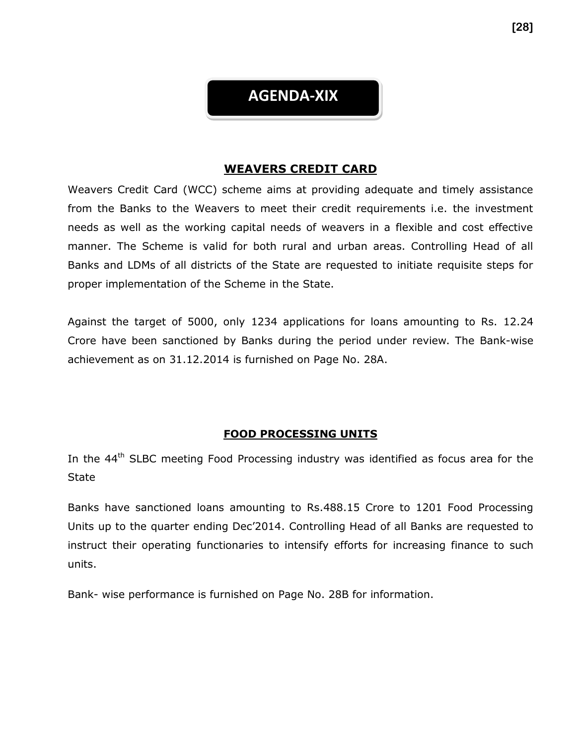# **AGENDA-XIX**

## **WEAVERS CREDIT CARD**

Weavers Credit Card (WCC) scheme aims at providing adequate and timely assistance from the Banks to the Weavers to meet their credit requirements i.e. the investment needs as well as the working capital needs of weavers in a flexible and cost effective manner. The Scheme is valid for both rural and urban areas. Controlling Head of all Banks and LDMs of all districts of the State are requested to initiate requisite steps for proper implementation of the Scheme in the State.

Against the target of 5000, only 1234 applications for loans amounting to Rs. 12.24 Crore have been sanctioned by Banks during the period under review. The Bank-wise achievement as on 31.12.2014 is furnished on Page No. 28A.

# **FOOD PROCESSING UNITS**

In the  $44<sup>th</sup>$  SLBC meeting Food Processing industry was identified as focus area for the **State** 

Banks have sanctioned loans amounting to Rs.488.15 Crore to 1201 Food Processing Units up to the quarter ending Dec'2014. Controlling Head of all Banks are requested to instruct their operating functionaries to intensify efforts for increasing finance to such units.

Bank- wise performance is furnished on Page No. 28B for information.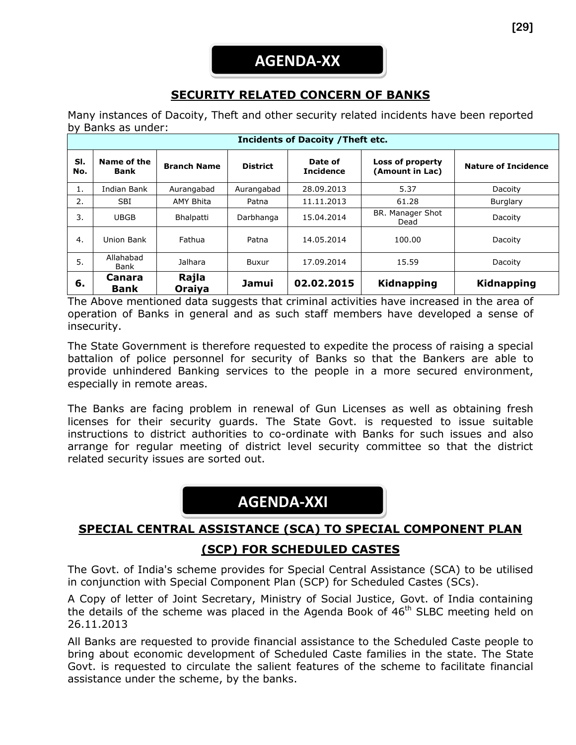# **SECURITY RELATED CONCERN OF BANKS**

Many instances of Dacoity, Theft and other security related incidents have been reported by Banks as under:

| <b>Incidents of Dacoity / Theft etc.</b> |                       |                    |                 |                             |                                     |                            |
|------------------------------------------|-----------------------|--------------------|-----------------|-----------------------------|-------------------------------------|----------------------------|
| SI.<br>No.                               | Name of the<br>Bank   | <b>Branch Name</b> | <b>District</b> | Date of<br><b>Incidence</b> | Loss of property<br>(Amount in Lac) | <b>Nature of Incidence</b> |
| 1.                                       | Indian Bank           | Aurangabad         | Aurangabad      | 28.09.2013                  | 5.37                                | Dacoity                    |
| 2.                                       | <b>SBI</b>            | AMY Bhita          | Patna           | 11.11.2013                  | 61.28                               | Burglary                   |
| 3.                                       | <b>UBGB</b>           | Bhalpatti          | Darbhanga       | 15.04.2014                  | BR. Manager Shot<br>Dead            | Dacoity                    |
| 4.                                       | Union Bank            | Fathua             | Patna           | 14.05.2014                  | 100.00                              | Dacoity                    |
| 5.                                       | Allahabad<br>Bank     | Jalhara            | Buxur           | 17.09.2014                  | 15.59                               | Dacoity                    |
| 6.                                       | Canara<br><b>Bank</b> | Rajla<br>Oraiva    | Jamui           | 02.02.2015                  | <b>Kidnapping</b>                   | Kidnapping                 |

The Above mentioned data suggests that criminal activities have increased in the area of operation of Banks in general and as such staff members have developed a sense of insecurity.

The State Government is therefore requested to expedite the process of raising a special battalion of police personnel for security of Banks so that the Bankers are able to provide unhindered Banking services to the people in a more secured environment, especially in remote areas.

The Banks are facing problem in renewal of Gun Licenses as well as obtaining fresh licenses for their security guards. The State Govt. is requested to issue suitable instructions to district authorities to co-ordinate with Banks for such issues and also arrange for regular meeting of district level security committee so that the district related security issues are sorted out.

# **AGENDA-XXI**

# **SPECIAL CENTRAL ASSISTANCE (SCA) TO SPECIAL COMPONENT PLAN**

# **(SCP) FOR SCHEDULED CASTES**

The Govt. of India's scheme provides for Special Central Assistance (SCA) to be utilised in conjunction with Special Component Plan (SCP) for Scheduled Castes (SCs).

A Copy of letter of Joint Secretary, Ministry of Social Justice, Govt. of India containing the details of the scheme was placed in the Agenda Book of  $46<sup>th</sup>$  SLBC meeting held on 26.11.2013

All Banks are requested to provide financial assistance to the Scheduled Caste people to bring about economic development of Scheduled Caste families in the state. The State Govt. is requested to circulate the salient features of the scheme to facilitate financial assistance under the scheme, by the banks.